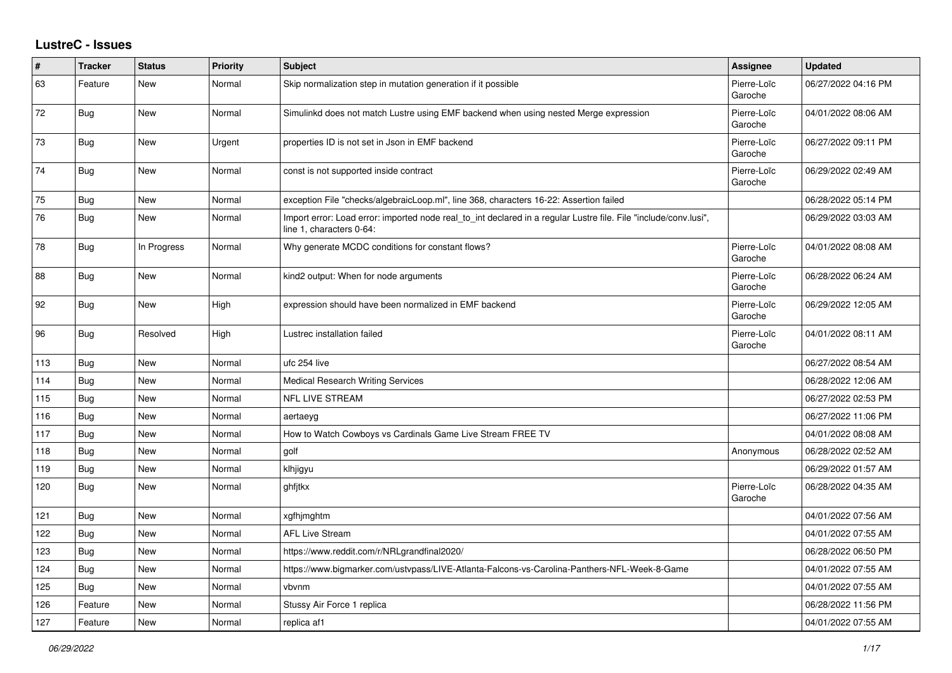## **LustreC - Issues**

| #   | <b>Tracker</b> | <b>Status</b> | <b>Priority</b> | <b>Subject</b>                                                                                                                               | <b>Assignee</b>        | <b>Updated</b>      |
|-----|----------------|---------------|-----------------|----------------------------------------------------------------------------------------------------------------------------------------------|------------------------|---------------------|
| 63  | Feature        | <b>New</b>    | Normal          | Skip normalization step in mutation generation if it possible                                                                                | Pierre-Loïc<br>Garoche | 06/27/2022 04:16 PM |
| 72  | Bug            | New           | Normal          | Simulinkd does not match Lustre using EMF backend when using nested Merge expression                                                         | Pierre-Loïc<br>Garoche | 04/01/2022 08:06 AM |
| 73  | <b>Bug</b>     | New           | Urgent          | properties ID is not set in Json in EMF backend                                                                                              | Pierre-Loïc<br>Garoche | 06/27/2022 09:11 PM |
| 74  | <b>Bug</b>     | <b>New</b>    | Normal          | const is not supported inside contract                                                                                                       | Pierre-Loïc<br>Garoche | 06/29/2022 02:49 AM |
| 75  | Bug            | <b>New</b>    | Normal          | exception File "checks/algebraicLoop.ml", line 368, characters 16-22: Assertion failed                                                       |                        | 06/28/2022 05:14 PM |
| 76  | <b>Bug</b>     | New           | Normal          | Import error: Load error: imported node real to int declared in a regular Lustre file. File "include/conv.lusi",<br>line 1, characters 0-64: |                        | 06/29/2022 03:03 AM |
| 78  | <b>Bug</b>     | In Progress   | Normal          | Why generate MCDC conditions for constant flows?                                                                                             | Pierre-Loïc<br>Garoche | 04/01/2022 08:08 AM |
| 88  | <b>Bug</b>     | New           | Normal          | kind2 output: When for node arguments                                                                                                        | Pierre-Loïc<br>Garoche | 06/28/2022 06:24 AM |
| 92  | Bug            | <b>New</b>    | High            | expression should have been normalized in EMF backend                                                                                        | Pierre-Loïc<br>Garoche | 06/29/2022 12:05 AM |
| 96  | <b>Bug</b>     | Resolved      | High            | Lustrec installation failed                                                                                                                  | Pierre-Loïc<br>Garoche | 04/01/2022 08:11 AM |
| 113 | <b>Bug</b>     | <b>New</b>    | Normal          | ufc 254 live                                                                                                                                 |                        | 06/27/2022 08:54 AM |
| 114 | <b>Bug</b>     | New           | Normal          | Medical Research Writing Services                                                                                                            |                        | 06/28/2022 12:06 AM |
| 115 | Bug            | <b>New</b>    | Normal          | NFL LIVE STREAM                                                                                                                              |                        | 06/27/2022 02:53 PM |
| 116 | Bug            | <b>New</b>    | Normal          | aertaeyg                                                                                                                                     |                        | 06/27/2022 11:06 PM |
| 117 | <b>Bug</b>     | New           | Normal          | How to Watch Cowboys vs Cardinals Game Live Stream FREE TV                                                                                   |                        | 04/01/2022 08:08 AM |
| 118 | <b>Bug</b>     | <b>New</b>    | Normal          | golf                                                                                                                                         | Anonymous              | 06/28/2022 02:52 AM |
| 119 | Bug            | <b>New</b>    | Normal          | klhjigyu                                                                                                                                     |                        | 06/29/2022 01:57 AM |
| 120 | Bug            | New           | Normal          | ghfjtkx                                                                                                                                      | Pierre-Loïc<br>Garoche | 06/28/2022 04:35 AM |
| 121 | <b>Bug</b>     | <b>New</b>    | Normal          | xgfhjmghtm                                                                                                                                   |                        | 04/01/2022 07:56 AM |
| 122 | Bug            | New           | Normal          | <b>AFL Live Stream</b>                                                                                                                       |                        | 04/01/2022 07:55 AM |
| 123 | Bug            | <b>New</b>    | Normal          | https://www.reddit.com/r/NRLgrandfinal2020/                                                                                                  |                        | 06/28/2022 06:50 PM |
| 124 | <b>Bug</b>     | New           | Normal          | https://www.bigmarker.com/ustvpass/LIVE-Atlanta-Falcons-vs-Carolina-Panthers-NFL-Week-8-Game                                                 |                        | 04/01/2022 07:55 AM |
| 125 | Bug            | New           | Normal          | vbvnm                                                                                                                                        |                        | 04/01/2022 07:55 AM |
| 126 | Feature        | <b>New</b>    | Normal          | Stussy Air Force 1 replica                                                                                                                   |                        | 06/28/2022 11:56 PM |
| 127 | Feature        | <b>New</b>    | Normal          | replica af1                                                                                                                                  |                        | 04/01/2022 07:55 AM |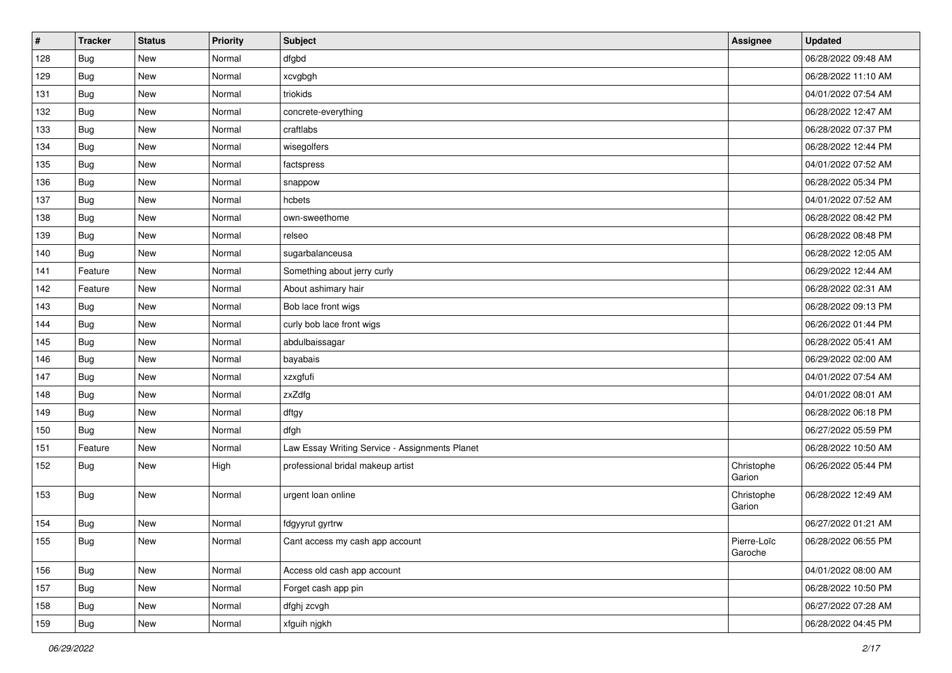| #   | <b>Tracker</b> | <b>Status</b> | Priority | <b>Subject</b>                                 | Assignee               | <b>Updated</b>      |
|-----|----------------|---------------|----------|------------------------------------------------|------------------------|---------------------|
| 128 | Bug            | New           | Normal   | dfgbd                                          |                        | 06/28/2022 09:48 AM |
| 129 | Bug            | New           | Normal   | xcvgbgh                                        |                        | 06/28/2022 11:10 AM |
| 131 | <b>Bug</b>     | New           | Normal   | triokids                                       |                        | 04/01/2022 07:54 AM |
| 132 | <b>Bug</b>     | New           | Normal   | concrete-everything                            |                        | 06/28/2022 12:47 AM |
| 133 | <b>Bug</b>     | New           | Normal   | craftlabs                                      |                        | 06/28/2022 07:37 PM |
| 134 | Bug            | <b>New</b>    | Normal   | wisegolfers                                    |                        | 06/28/2022 12:44 PM |
| 135 | Bug            | <b>New</b>    | Normal   | factspress                                     |                        | 04/01/2022 07:52 AM |
| 136 | <b>Bug</b>     | <b>New</b>    | Normal   | snappow                                        |                        | 06/28/2022 05:34 PM |
| 137 | Bug            | New           | Normal   | hcbets                                         |                        | 04/01/2022 07:52 AM |
| 138 | <b>Bug</b>     | <b>New</b>    | Normal   | own-sweethome                                  |                        | 06/28/2022 08:42 PM |
| 139 | Bug            | <b>New</b>    | Normal   | relseo                                         |                        | 06/28/2022 08:48 PM |
| 140 | Bug            | New           | Normal   | sugarbalanceusa                                |                        | 06/28/2022 12:05 AM |
| 141 | Feature        | <b>New</b>    | Normal   | Something about jerry curly                    |                        | 06/29/2022 12:44 AM |
| 142 | Feature        | <b>New</b>    | Normal   | About ashimary hair                            |                        | 06/28/2022 02:31 AM |
| 143 | Bug            | <b>New</b>    | Normal   | Bob lace front wigs                            |                        | 06/28/2022 09:13 PM |
| 144 | Bug            | New           | Normal   | curly bob lace front wigs                      |                        | 06/26/2022 01:44 PM |
| 145 | <b>Bug</b>     | <b>New</b>    | Normal   | abdulbaissagar                                 |                        | 06/28/2022 05:41 AM |
| 146 | <b>Bug</b>     | <b>New</b>    | Normal   | bayabais                                       |                        | 06/29/2022 02:00 AM |
| 147 | Bug            | New           | Normal   | xzxgfufi                                       |                        | 04/01/2022 07:54 AM |
| 148 | Bug            | <b>New</b>    | Normal   | zxZdfg                                         |                        | 04/01/2022 08:01 AM |
| 149 | Bug            | New           | Normal   | dftgy                                          |                        | 06/28/2022 06:18 PM |
| 150 | Bug            | <b>New</b>    | Normal   | dfgh                                           |                        | 06/27/2022 05:59 PM |
| 151 | Feature        | New           | Normal   | Law Essay Writing Service - Assignments Planet |                        | 06/28/2022 10:50 AM |
| 152 | <b>Bug</b>     | New           | High     | professional bridal makeup artist              | Christophe<br>Garion   | 06/26/2022 05:44 PM |
| 153 | <b>Bug</b>     | New           | Normal   | urgent loan online                             | Christophe<br>Garion   | 06/28/2022 12:49 AM |
| 154 | Bug            | <b>New</b>    | Normal   | fdgyyrut gyrtrw                                |                        | 06/27/2022 01:21 AM |
| 155 | Bug            | New           | Normal   | Cant access my cash app account                | Pierre-Loïc<br>Garoche | 06/28/2022 06:55 PM |
| 156 | <b>Bug</b>     | New           | Normal   | Access old cash app account                    |                        | 04/01/2022 08:00 AM |
| 157 | Bug            | New           | Normal   | Forget cash app pin                            |                        | 06/28/2022 10:50 PM |
| 158 | <b>Bug</b>     | New           | Normal   | dfghj zcvgh                                    |                        | 06/27/2022 07:28 AM |
| 159 | Bug            | New           | Normal   | xfguih njgkh                                   |                        | 06/28/2022 04:45 PM |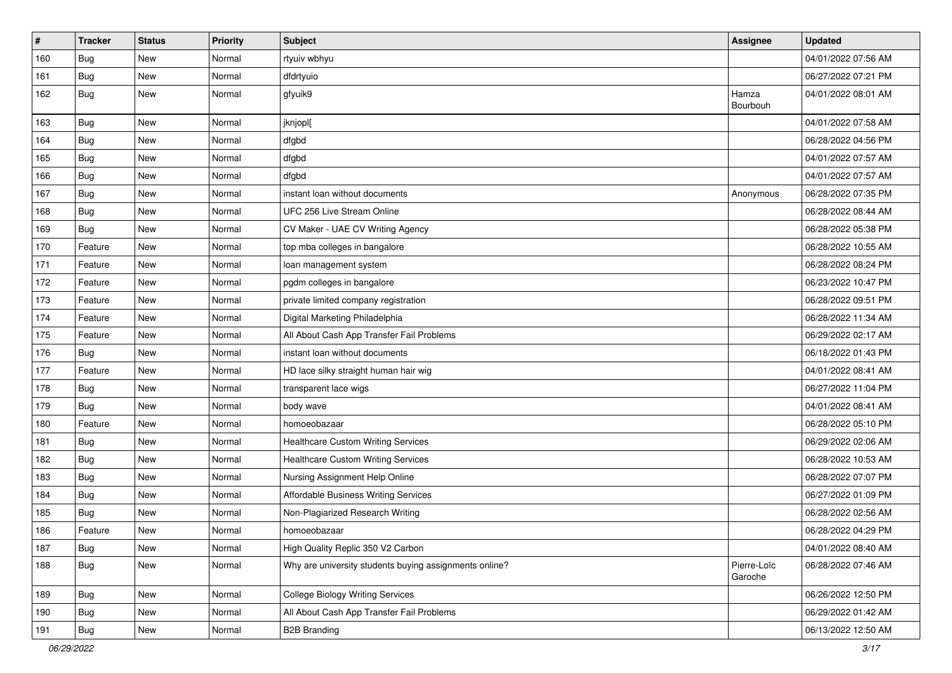| #   | Tracker    | <b>Status</b> | <b>Priority</b> | <b>Subject</b>                                         | Assignee               | <b>Updated</b>      |
|-----|------------|---------------|-----------------|--------------------------------------------------------|------------------------|---------------------|
| 160 | Bug        | New           | Normal          | rtyuiv wbhyu                                           |                        | 04/01/2022 07:56 AM |
| 161 | Bug        | <b>New</b>    | Normal          | dfdrtyuio                                              |                        | 06/27/2022 07:21 PM |
| 162 | <b>Bug</b> | New           | Normal          | gfyuik9                                                | Hamza<br>Bourbouh      | 04/01/2022 08:01 AM |
| 163 | <b>Bug</b> | <b>New</b>    | Normal          | jknjopl[                                               |                        | 04/01/2022 07:58 AM |
| 164 | <b>Bug</b> | New           | Normal          | dfgbd                                                  |                        | 06/28/2022 04:56 PM |
| 165 | Bug        | New           | Normal          | dfgbd                                                  |                        | 04/01/2022 07:57 AM |
| 166 | Bug        | New           | Normal          | dfgbd                                                  |                        | 04/01/2022 07:57 AM |
| 167 | Bug        | New           | Normal          | instant loan without documents                         | Anonymous              | 06/28/2022 07:35 PM |
| 168 | Bug        | <b>New</b>    | Normal          | UFC 256 Live Stream Online                             |                        | 06/28/2022 08:44 AM |
| 169 | Bug        | New           | Normal          | CV Maker - UAE CV Writing Agency                       |                        | 06/28/2022 05:38 PM |
| 170 | Feature    | <b>New</b>    | Normal          | top mba colleges in bangalore                          |                        | 06/28/2022 10:55 AM |
| 171 | Feature    | New           | Normal          | loan management system                                 |                        | 06/28/2022 08:24 PM |
| 172 | Feature    | New           | Normal          | pgdm colleges in bangalore                             |                        | 06/23/2022 10:47 PM |
| 173 | Feature    | New           | Normal          | private limited company registration                   |                        | 06/28/2022 09:51 PM |
| 174 | Feature    | New           | Normal          | Digital Marketing Philadelphia                         |                        | 06/28/2022 11:34 AM |
| 175 | Feature    | New           | Normal          | All About Cash App Transfer Fail Problems              |                        | 06/29/2022 02:17 AM |
| 176 | Bug        | <b>New</b>    | Normal          | instant loan without documents                         |                        | 06/18/2022 01:43 PM |
| 177 | Feature    | New           | Normal          | HD lace silky straight human hair wig                  |                        | 04/01/2022 08:41 AM |
| 178 | Bug        | New           | Normal          | transparent lace wigs                                  |                        | 06/27/2022 11:04 PM |
| 179 | Bug        | New           | Normal          | body wave                                              |                        | 04/01/2022 08:41 AM |
| 180 | Feature    | New           | Normal          | homoeobazaar                                           |                        | 06/28/2022 05:10 PM |
| 181 | <b>Bug</b> | New           | Normal          | <b>Healthcare Custom Writing Services</b>              |                        | 06/29/2022 02:06 AM |
| 182 | Bug        | New           | Normal          | <b>Healthcare Custom Writing Services</b>              |                        | 06/28/2022 10:53 AM |
| 183 | <b>Bug</b> | <b>New</b>    | Normal          | Nursing Assignment Help Online                         |                        | 06/28/2022 07:07 PM |
| 184 | <b>Bug</b> | <b>New</b>    | Normal          | <b>Affordable Business Writing Services</b>            |                        | 06/27/2022 01:09 PM |
| 185 | Bug        | New           | Normal          | Non-Plagiarized Research Writing                       |                        | 06/28/2022 02:56 AM |
| 186 | Feature    | New           | Normal          | homoeobazaar                                           |                        | 06/28/2022 04:29 PM |
| 187 | <b>Bug</b> | New           | Normal          | High Quality Replic 350 V2 Carbon                      |                        | 04/01/2022 08:40 AM |
| 188 | <b>Bug</b> | New           | Normal          | Why are university students buying assignments online? | Pierre-Loïc<br>Garoche | 06/28/2022 07:46 AM |
| 189 | Bug        | New           | Normal          | <b>College Biology Writing Services</b>                |                        | 06/26/2022 12:50 PM |
| 190 | Bug        | New           | Normal          | All About Cash App Transfer Fail Problems              |                        | 06/29/2022 01:42 AM |
| 191 | Bug        | New           | Normal          | <b>B2B Branding</b>                                    |                        | 06/13/2022 12:50 AM |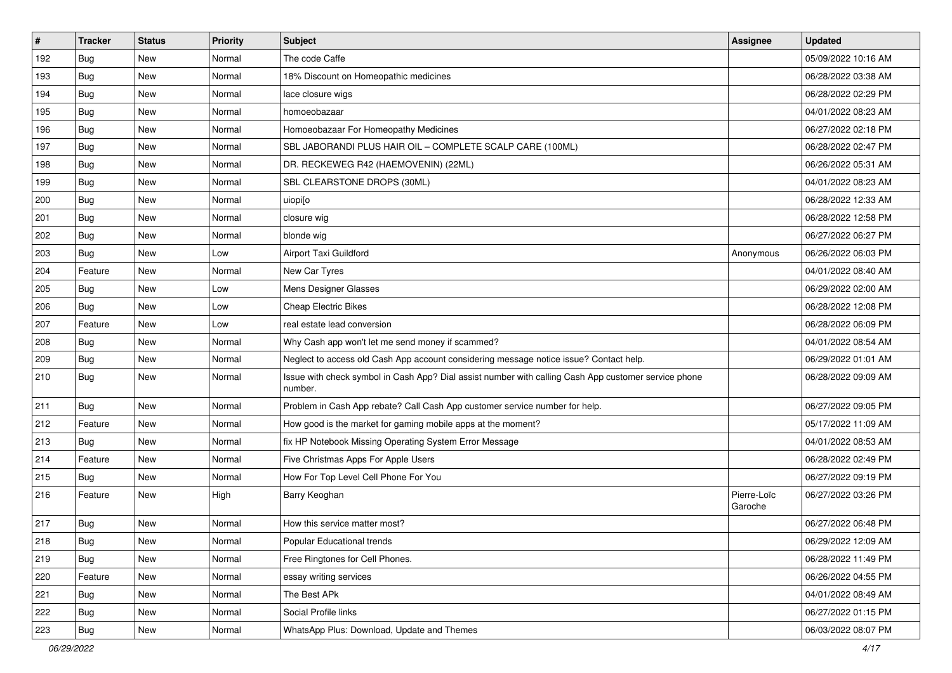| $\vert$ # | <b>Tracker</b> | <b>Status</b> | <b>Priority</b> | Subject                                                                                                         | <b>Assignee</b>        | <b>Updated</b>      |
|-----------|----------------|---------------|-----------------|-----------------------------------------------------------------------------------------------------------------|------------------------|---------------------|
| 192       | <b>Bug</b>     | New           | Normal          | The code Caffe                                                                                                  |                        | 05/09/2022 10:16 AM |
| 193       | <b>Bug</b>     | <b>New</b>    | Normal          | 18% Discount on Homeopathic medicines                                                                           |                        | 06/28/2022 03:38 AM |
| 194       | Bug            | New           | Normal          | lace closure wigs                                                                                               |                        | 06/28/2022 02:29 PM |
| 195       | Bug            | New           | Normal          | homoeobazaar                                                                                                    |                        | 04/01/2022 08:23 AM |
| 196       | <b>Bug</b>     | New           | Normal          | Homoeobazaar For Homeopathy Medicines                                                                           |                        | 06/27/2022 02:18 PM |
| 197       | Bug            | New           | Normal          | SBL JABORANDI PLUS HAIR OIL - COMPLETE SCALP CARE (100ML)                                                       |                        | 06/28/2022 02:47 PM |
| 198       | Bug            | <b>New</b>    | Normal          | DR. RECKEWEG R42 (HAEMOVENIN) (22ML)                                                                            |                        | 06/26/2022 05:31 AM |
| 199       | Bug            | New           | Normal          | SBL CLEARSTONE DROPS (30ML)                                                                                     |                        | 04/01/2022 08:23 AM |
| 200       | Bug            | New           | Normal          | uiopi[o                                                                                                         |                        | 06/28/2022 12:33 AM |
| 201       | <b>Bug</b>     | New           | Normal          | closure wig                                                                                                     |                        | 06/28/2022 12:58 PM |
| 202       | Bug            | New           | Normal          | blonde wig                                                                                                      |                        | 06/27/2022 06:27 PM |
| 203       | Bug            | New           | Low             | Airport Taxi Guildford                                                                                          | Anonymous              | 06/26/2022 06:03 PM |
| 204       | Feature        | New           | Normal          | New Car Tyres                                                                                                   |                        | 04/01/2022 08:40 AM |
| 205       | Bug            | New           | Low             | Mens Designer Glasses                                                                                           |                        | 06/29/2022 02:00 AM |
| 206       | <b>Bug</b>     | New           | Low             | <b>Cheap Electric Bikes</b>                                                                                     |                        | 06/28/2022 12:08 PM |
| 207       | Feature        | <b>New</b>    | Low             | real estate lead conversion                                                                                     |                        | 06/28/2022 06:09 PM |
| 208       | Bug            | New           | Normal          | Why Cash app won't let me send money if scammed?                                                                |                        | 04/01/2022 08:54 AM |
| 209       | <b>Bug</b>     | New           | Normal          | Neglect to access old Cash App account considering message notice issue? Contact help.                          |                        | 06/29/2022 01:01 AM |
| 210       | Bug            | New           | Normal          | Issue with check symbol in Cash App? Dial assist number with calling Cash App customer service phone<br>number. |                        | 06/28/2022 09:09 AM |
| 211       | Bug            | New           | Normal          | Problem in Cash App rebate? Call Cash App customer service number for help.                                     |                        | 06/27/2022 09:05 PM |
| 212       | Feature        | New           | Normal          | How good is the market for gaming mobile apps at the moment?                                                    |                        | 05/17/2022 11:09 AM |
| 213       | Bug            | New           | Normal          | fix HP Notebook Missing Operating System Error Message                                                          |                        | 04/01/2022 08:53 AM |
| 214       | Feature        | <b>New</b>    | Normal          | Five Christmas Apps For Apple Users                                                                             |                        | 06/28/2022 02:49 PM |
| 215       | Bug            | New           | Normal          | How For Top Level Cell Phone For You                                                                            |                        | 06/27/2022 09:19 PM |
| 216       | Feature        | New           | High            | Barry Keoghan                                                                                                   | Pierre-Loïc<br>Garoche | 06/27/2022 03:26 PM |
| 217       | Bug            | <b>New</b>    | Normal          | How this service matter most?                                                                                   |                        | 06/27/2022 06:48 PM |
| 218       | Bug            | New           | Normal          | Popular Educational trends                                                                                      |                        | 06/29/2022 12:09 AM |
| 219       | <b>Bug</b>     | New           | Normal          | Free Ringtones for Cell Phones.                                                                                 |                        | 06/28/2022 11:49 PM |
| 220       | Feature        | New           | Normal          | essay writing services                                                                                          |                        | 06/26/2022 04:55 PM |
| 221       | <b>Bug</b>     | New           | Normal          | The Best APk                                                                                                    |                        | 04/01/2022 08:49 AM |
| 222       | <b>Bug</b>     | New           | Normal          | Social Profile links                                                                                            |                        | 06/27/2022 01:15 PM |
| 223       | <b>Bug</b>     | New           | Normal          | WhatsApp Plus: Download, Update and Themes                                                                      |                        | 06/03/2022 08:07 PM |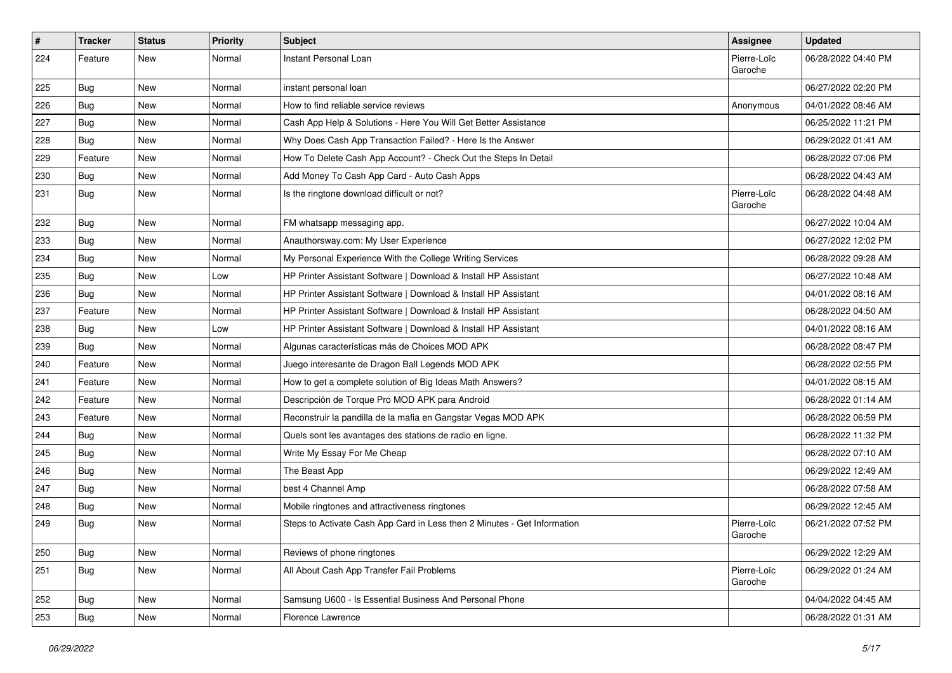| $\sharp$ | <b>Tracker</b> | <b>Status</b> | <b>Priority</b> | <b>Subject</b>                                                           | Assignee               | <b>Updated</b>      |
|----------|----------------|---------------|-----------------|--------------------------------------------------------------------------|------------------------|---------------------|
| 224      | Feature        | <b>New</b>    | Normal          | Instant Personal Loan                                                    | Pierre-Loïc<br>Garoche | 06/28/2022 04:40 PM |
| 225      | <b>Bug</b>     | <b>New</b>    | Normal          | instant personal loan                                                    |                        | 06/27/2022 02:20 PM |
| 226      | <b>Bug</b>     | <b>New</b>    | Normal          | How to find reliable service reviews                                     | Anonymous              | 04/01/2022 08:46 AM |
| 227      | Bug            | <b>New</b>    | Normal          | Cash App Help & Solutions - Here You Will Get Better Assistance          |                        | 06/25/2022 11:21 PM |
| 228      | <b>Bug</b>     | <b>New</b>    | Normal          | Why Does Cash App Transaction Failed? - Here Is the Answer               |                        | 06/29/2022 01:41 AM |
| 229      | Feature        | <b>New</b>    | Normal          | How To Delete Cash App Account? - Check Out the Steps In Detail          |                        | 06/28/2022 07:06 PM |
| 230      | <b>Bug</b>     | New           | Normal          | Add Money To Cash App Card - Auto Cash Apps                              |                        | 06/28/2022 04:43 AM |
| 231      | <b>Bug</b>     | New           | Normal          | Is the ringtone download difficult or not?                               | Pierre-Loïc<br>Garoche | 06/28/2022 04:48 AM |
| 232      | <b>Bug</b>     | <b>New</b>    | Normal          | FM whatsapp messaging app.                                               |                        | 06/27/2022 10:04 AM |
| 233      | <b>Bug</b>     | <b>New</b>    | Normal          | Anauthorsway.com: My User Experience                                     |                        | 06/27/2022 12:02 PM |
| 234      | <b>Bug</b>     | <b>New</b>    | Normal          | My Personal Experience With the College Writing Services                 |                        | 06/28/2022 09:28 AM |
| 235      | <b>Bug</b>     | <b>New</b>    | Low             | HP Printer Assistant Software   Download & Install HP Assistant          |                        | 06/27/2022 10:48 AM |
| 236      | Bug            | <b>New</b>    | Normal          | HP Printer Assistant Software   Download & Install HP Assistant          |                        | 04/01/2022 08:16 AM |
| 237      | Feature        | <b>New</b>    | Normal          | HP Printer Assistant Software   Download & Install HP Assistant          |                        | 06/28/2022 04:50 AM |
| 238      | <b>Bug</b>     | <b>New</b>    | Low             | HP Printer Assistant Software   Download & Install HP Assistant          |                        | 04/01/2022 08:16 AM |
| 239      | <b>Bug</b>     | <b>New</b>    | Normal          | Algunas características más de Choices MOD APK                           |                        | 06/28/2022 08:47 PM |
| 240      | Feature        | <b>New</b>    | Normal          | Juego interesante de Dragon Ball Legends MOD APK                         |                        | 06/28/2022 02:55 PM |
| 241      | Feature        | <b>New</b>    | Normal          | How to get a complete solution of Big Ideas Math Answers?                |                        | 04/01/2022 08:15 AM |
| 242      | Feature        | New           | Normal          | Descripción de Torque Pro MOD APK para Android                           |                        | 06/28/2022 01:14 AM |
| 243      | Feature        | New           | Normal          | Reconstruir la pandilla de la mafia en Gangstar Vegas MOD APK            |                        | 06/28/2022 06:59 PM |
| 244      | <b>Bug</b>     | <b>New</b>    | Normal          | Quels sont les avantages des stations de radio en ligne.                 |                        | 06/28/2022 11:32 PM |
| 245      | <b>Bug</b>     | <b>New</b>    | Normal          | Write My Essay For Me Cheap                                              |                        | 06/28/2022 07:10 AM |
| 246      | <b>Bug</b>     | <b>New</b>    | Normal          | The Beast App                                                            |                        | 06/29/2022 12:49 AM |
| 247      | <b>Bug</b>     | New           | Normal          | best 4 Channel Amp                                                       |                        | 06/28/2022 07:58 AM |
| 248      | <b>Bug</b>     | <b>New</b>    | Normal          | Mobile ringtones and attractiveness ringtones                            |                        | 06/29/2022 12:45 AM |
| 249      | <b>Bug</b>     | <b>New</b>    | Normal          | Steps to Activate Cash App Card in Less then 2 Minutes - Get Information | Pierre-Loïc<br>Garoche | 06/21/2022 07:52 PM |
| 250      | <b>Bug</b>     | New           | Normal          | Reviews of phone ringtones                                               |                        | 06/29/2022 12:29 AM |
| 251      | <b>Bug</b>     | New           | Normal          | All About Cash App Transfer Fail Problems                                | Pierre-Loïc<br>Garoche | 06/29/2022 01:24 AM |
| 252      | <b>Bug</b>     | New           | Normal          | Samsung U600 - Is Essential Business And Personal Phone                  |                        | 04/04/2022 04:45 AM |
| 253      | <b>Bug</b>     | New           | Normal          | Florence Lawrence                                                        |                        | 06/28/2022 01:31 AM |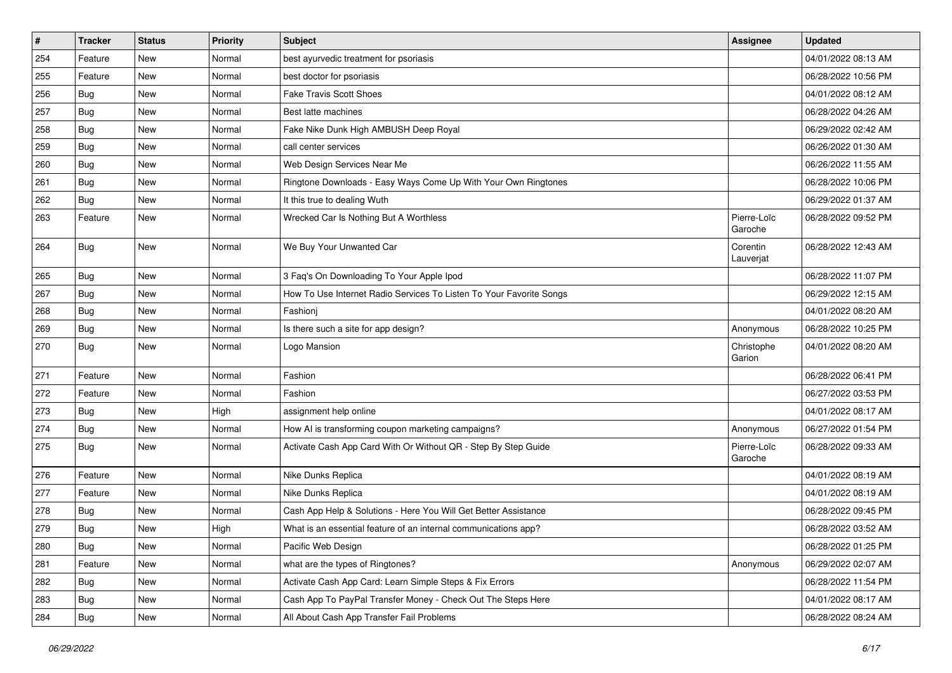| $\#$ | <b>Tracker</b> | <b>Status</b> | <b>Priority</b> | Subject                                                             | <b>Assignee</b>        | <b>Updated</b>      |
|------|----------------|---------------|-----------------|---------------------------------------------------------------------|------------------------|---------------------|
| 254  | Feature        | New           | Normal          | best ayurvedic treatment for psoriasis                              |                        | 04/01/2022 08:13 AM |
| 255  | Feature        | New           | Normal          | best doctor for psoriasis                                           |                        | 06/28/2022 10:56 PM |
| 256  | Bug            | New           | Normal          | <b>Fake Travis Scott Shoes</b>                                      |                        | 04/01/2022 08:12 AM |
| 257  | Bug            | New           | Normal          | Best latte machines                                                 |                        | 06/28/2022 04:26 AM |
| 258  | <b>Bug</b>     | New           | Normal          | Fake Nike Dunk High AMBUSH Deep Royal                               |                        | 06/29/2022 02:42 AM |
| 259  | Bug            | New           | Normal          | call center services                                                |                        | 06/26/2022 01:30 AM |
| 260  | <b>Bug</b>     | <b>New</b>    | Normal          | Web Design Services Near Me                                         |                        | 06/26/2022 11:55 AM |
| 261  | <b>Bug</b>     | New           | Normal          | Ringtone Downloads - Easy Ways Come Up With Your Own Ringtones      |                        | 06/28/2022 10:06 PM |
| 262  | Bug            | New           | Normal          | It this true to dealing Wuth                                        |                        | 06/29/2022 01:37 AM |
| 263  | Feature        | New           | Normal          | Wrecked Car Is Nothing But A Worthless                              | Pierre-Loïc<br>Garoche | 06/28/2022 09:52 PM |
| 264  | <b>Bug</b>     | New           | Normal          | We Buy Your Unwanted Car                                            | Corentin<br>Lauverjat  | 06/28/2022 12:43 AM |
| 265  | Bug            | New           | Normal          | 3 Faq's On Downloading To Your Apple Ipod                           |                        | 06/28/2022 11:07 PM |
| 267  | <b>Bug</b>     | <b>New</b>    | Normal          | How To Use Internet Radio Services To Listen To Your Favorite Songs |                        | 06/29/2022 12:15 AM |
| 268  | Bug            | New           | Normal          | Fashioni                                                            |                        | 04/01/2022 08:20 AM |
| 269  | Bug            | New           | Normal          | Is there such a site for app design?                                | Anonymous              | 06/28/2022 10:25 PM |
| 270  | <b>Bug</b>     | New           | Normal          | Logo Mansion                                                        | Christophe<br>Garion   | 04/01/2022 08:20 AM |
| 271  | Feature        | New           | Normal          | Fashion                                                             |                        | 06/28/2022 06:41 PM |
| 272  | Feature        | New           | Normal          | Fashion                                                             |                        | 06/27/2022 03:53 PM |
| 273  | Bug            | New           | High            | assignment help online                                              |                        | 04/01/2022 08:17 AM |
| 274  | Bug            | New           | Normal          | How AI is transforming coupon marketing campaigns?                  | Anonymous              | 06/27/2022 01:54 PM |
| 275  | <b>Bug</b>     | New           | Normal          | Activate Cash App Card With Or Without QR - Step By Step Guide      | Pierre-Loïc<br>Garoche | 06/28/2022 09:33 AM |
| 276  | Feature        | New           | Normal          | Nike Dunks Replica                                                  |                        | 04/01/2022 08:19 AM |
| 277  | Feature        | New           | Normal          | Nike Dunks Replica                                                  |                        | 04/01/2022 08:19 AM |
| 278  | Bug            | New           | Normal          | Cash App Help & Solutions - Here You Will Get Better Assistance     |                        | 06/28/2022 09:45 PM |
| 279  | <b>Bug</b>     | New           | High            | What is an essential feature of an internal communications app?     |                        | 06/28/2022 03:52 AM |
| 280  | <b>Bug</b>     | New           | Normal          | Pacific Web Design                                                  |                        | 06/28/2022 01:25 PM |
| 281  | Feature        | New           | Normal          | what are the types of Ringtones?                                    | Anonymous              | 06/29/2022 02:07 AM |
| 282  | <b>Bug</b>     | New           | Normal          | Activate Cash App Card: Learn Simple Steps & Fix Errors             |                        | 06/28/2022 11:54 PM |
| 283  | <b>Bug</b>     | New           | Normal          | Cash App To PayPal Transfer Money - Check Out The Steps Here        |                        | 04/01/2022 08:17 AM |
| 284  | <b>Bug</b>     | New           | Normal          | All About Cash App Transfer Fail Problems                           |                        | 06/28/2022 08:24 AM |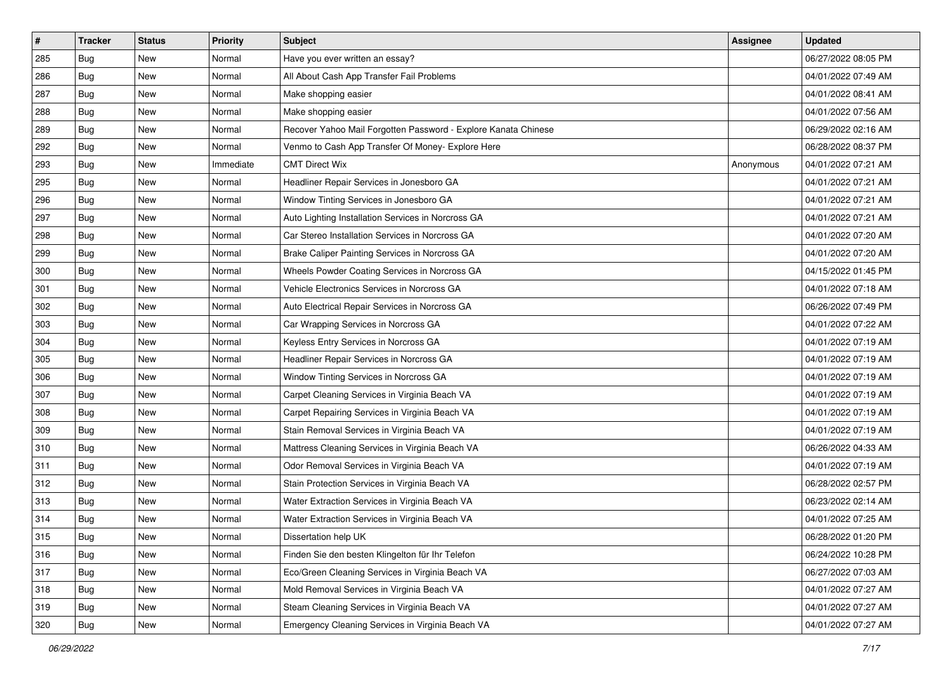| #   | <b>Tracker</b> | <b>Status</b> | <b>Priority</b> | Subject                                                        | <b>Assignee</b> | <b>Updated</b>      |
|-----|----------------|---------------|-----------------|----------------------------------------------------------------|-----------------|---------------------|
| 285 | <b>Bug</b>     | New           | Normal          | Have you ever written an essay?                                |                 | 06/27/2022 08:05 PM |
| 286 | <b>Bug</b>     | <b>New</b>    | Normal          | All About Cash App Transfer Fail Problems                      |                 | 04/01/2022 07:49 AM |
| 287 | Bug            | New           | Normal          | Make shopping easier                                           |                 | 04/01/2022 08:41 AM |
| 288 | Bug            | New           | Normal          | Make shopping easier                                           |                 | 04/01/2022 07:56 AM |
| 289 | <b>Bug</b>     | New           | Normal          | Recover Yahoo Mail Forgotten Password - Explore Kanata Chinese |                 | 06/29/2022 02:16 AM |
| 292 | <b>Bug</b>     | New           | Normal          | Venmo to Cash App Transfer Of Money- Explore Here              |                 | 06/28/2022 08:37 PM |
| 293 | Bug            | New           | Immediate       | <b>CMT Direct Wix</b>                                          | Anonymous       | 04/01/2022 07:21 AM |
| 295 | Bug            | New           | Normal          | Headliner Repair Services in Jonesboro GA                      |                 | 04/01/2022 07:21 AM |
| 296 | Bug            | New           | Normal          | Window Tinting Services in Jonesboro GA                        |                 | 04/01/2022 07:21 AM |
| 297 | <b>Bug</b>     | New           | Normal          | Auto Lighting Installation Services in Norcross GA             |                 | 04/01/2022 07:21 AM |
| 298 | <b>Bug</b>     | New           | Normal          | Car Stereo Installation Services in Norcross GA                |                 | 04/01/2022 07:20 AM |
| 299 | Bug            | New           | Normal          | Brake Caliper Painting Services in Norcross GA                 |                 | 04/01/2022 07:20 AM |
| 300 | Bug            | New           | Normal          | Wheels Powder Coating Services in Norcross GA                  |                 | 04/15/2022 01:45 PM |
| 301 | Bug            | New           | Normal          | Vehicle Electronics Services in Norcross GA                    |                 | 04/01/2022 07:18 AM |
| 302 | <b>Bug</b>     | New           | Normal          | Auto Electrical Repair Services in Norcross GA                 |                 | 06/26/2022 07:49 PM |
| 303 | Bug            | New           | Normal          | Car Wrapping Services in Norcross GA                           |                 | 04/01/2022 07:22 AM |
| 304 | Bug            | New           | Normal          | Keyless Entry Services in Norcross GA                          |                 | 04/01/2022 07:19 AM |
| 305 | <b>Bug</b>     | New           | Normal          | Headliner Repair Services in Norcross GA                       |                 | 04/01/2022 07:19 AM |
| 306 | Bug            | New           | Normal          | Window Tinting Services in Norcross GA                         |                 | 04/01/2022 07:19 AM |
| 307 | <b>Bug</b>     | New           | Normal          | Carpet Cleaning Services in Virginia Beach VA                  |                 | 04/01/2022 07:19 AM |
| 308 | <b>Bug</b>     | New           | Normal          | Carpet Repairing Services in Virginia Beach VA                 |                 | 04/01/2022 07:19 AM |
| 309 | Bug            | New           | Normal          | Stain Removal Services in Virginia Beach VA                    |                 | 04/01/2022 07:19 AM |
| 310 | <b>Bug</b>     | New           | Normal          | Mattress Cleaning Services in Virginia Beach VA                |                 | 06/26/2022 04:33 AM |
| 311 | <b>Bug</b>     | New           | Normal          | Odor Removal Services in Virginia Beach VA                     |                 | 04/01/2022 07:19 AM |
| 312 | Bug            | New           | Normal          | Stain Protection Services in Virginia Beach VA                 |                 | 06/28/2022 02:57 PM |
| 313 | Bug            | New           | Normal          | Water Extraction Services in Virginia Beach VA                 |                 | 06/23/2022 02:14 AM |
| 314 | Bug            | New           | Normal          | Water Extraction Services in Virginia Beach VA                 |                 | 04/01/2022 07:25 AM |
| 315 | <b>Bug</b>     | New           | Normal          | Dissertation help UK                                           |                 | 06/28/2022 01:20 PM |
| 316 | Bug            | New           | Normal          | Finden Sie den besten Klingelton für Ihr Telefon               |                 | 06/24/2022 10:28 PM |
| 317 | <b>Bug</b>     | New           | Normal          | Eco/Green Cleaning Services in Virginia Beach VA               |                 | 06/27/2022 07:03 AM |
| 318 | <b>Bug</b>     | New           | Normal          | Mold Removal Services in Virginia Beach VA                     |                 | 04/01/2022 07:27 AM |
| 319 | <b>Bug</b>     | New           | Normal          | Steam Cleaning Services in Virginia Beach VA                   |                 | 04/01/2022 07:27 AM |
| 320 | <b>Bug</b>     | New           | Normal          | Emergency Cleaning Services in Virginia Beach VA               |                 | 04/01/2022 07:27 AM |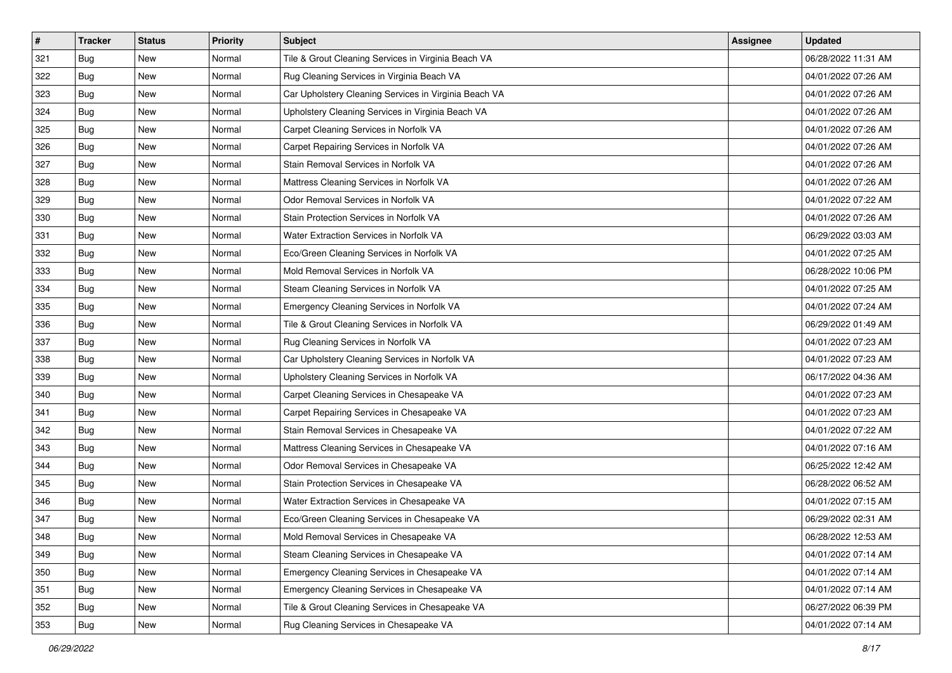| #   | <b>Tracker</b> | <b>Status</b> | <b>Priority</b> | Subject                                               | <b>Assignee</b> | <b>Updated</b>      |
|-----|----------------|---------------|-----------------|-------------------------------------------------------|-----------------|---------------------|
| 321 | <b>Bug</b>     | New           | Normal          | Tile & Grout Cleaning Services in Virginia Beach VA   |                 | 06/28/2022 11:31 AM |
| 322 | Bug            | New           | Normal          | Rug Cleaning Services in Virginia Beach VA            |                 | 04/01/2022 07:26 AM |
| 323 | Bug            | New           | Normal          | Car Upholstery Cleaning Services in Virginia Beach VA |                 | 04/01/2022 07:26 AM |
| 324 | Bug            | New           | Normal          | Upholstery Cleaning Services in Virginia Beach VA     |                 | 04/01/2022 07:26 AM |
| 325 | <b>Bug</b>     | New           | Normal          | Carpet Cleaning Services in Norfolk VA                |                 | 04/01/2022 07:26 AM |
| 326 | Bug            | New           | Normal          | Carpet Repairing Services in Norfolk VA               |                 | 04/01/2022 07:26 AM |
| 327 | Bug            | New           | Normal          | Stain Removal Services in Norfolk VA                  |                 | 04/01/2022 07:26 AM |
| 328 | Bug            | New           | Normal          | Mattress Cleaning Services in Norfolk VA              |                 | 04/01/2022 07:26 AM |
| 329 | Bug            | New           | Normal          | Odor Removal Services in Norfolk VA                   |                 | 04/01/2022 07:22 AM |
| 330 | <b>Bug</b>     | New           | Normal          | Stain Protection Services in Norfolk VA               |                 | 04/01/2022 07:26 AM |
| 331 | Bug            | New           | Normal          | Water Extraction Services in Norfolk VA               |                 | 06/29/2022 03:03 AM |
| 332 | Bug            | New           | Normal          | Eco/Green Cleaning Services in Norfolk VA             |                 | 04/01/2022 07:25 AM |
| 333 | <b>Bug</b>     | New           | Normal          | Mold Removal Services in Norfolk VA                   |                 | 06/28/2022 10:06 PM |
| 334 | <b>Bug</b>     | New           | Normal          | Steam Cleaning Services in Norfolk VA                 |                 | 04/01/2022 07:25 AM |
| 335 | <b>Bug</b>     | New           | Normal          | Emergency Cleaning Services in Norfolk VA             |                 | 04/01/2022 07:24 AM |
| 336 | Bug            | New           | Normal          | Tile & Grout Cleaning Services in Norfolk VA          |                 | 06/29/2022 01:49 AM |
| 337 | Bug            | New           | Normal          | Rug Cleaning Services in Norfolk VA                   |                 | 04/01/2022 07:23 AM |
| 338 | <b>Bug</b>     | New           | Normal          | Car Upholstery Cleaning Services in Norfolk VA        |                 | 04/01/2022 07:23 AM |
| 339 | <b>Bug</b>     | New           | Normal          | Upholstery Cleaning Services in Norfolk VA            |                 | 06/17/2022 04:36 AM |
| 340 | Bug            | New           | Normal          | Carpet Cleaning Services in Chesapeake VA             |                 | 04/01/2022 07:23 AM |
| 341 | <b>Bug</b>     | New           | Normal          | Carpet Repairing Services in Chesapeake VA            |                 | 04/01/2022 07:23 AM |
| 342 | <b>Bug</b>     | New           | Normal          | Stain Removal Services in Chesapeake VA               |                 | 04/01/2022 07:22 AM |
| 343 | <b>Bug</b>     | New           | Normal          | Mattress Cleaning Services in Chesapeake VA           |                 | 04/01/2022 07:16 AM |
| 344 | <b>Bug</b>     | New           | Normal          | Odor Removal Services in Chesapeake VA                |                 | 06/25/2022 12:42 AM |
| 345 | Bug            | New           | Normal          | Stain Protection Services in Chesapeake VA            |                 | 06/28/2022 06:52 AM |
| 346 | Bug            | New           | Normal          | Water Extraction Services in Chesapeake VA            |                 | 04/01/2022 07:15 AM |
| 347 | Bug            | New           | Normal          | Eco/Green Cleaning Services in Chesapeake VA          |                 | 06/29/2022 02:31 AM |
| 348 | <b>Bug</b>     | New           | Normal          | Mold Removal Services in Chesapeake VA                |                 | 06/28/2022 12:53 AM |
| 349 | Bug            | New           | Normal          | Steam Cleaning Services in Chesapeake VA              |                 | 04/01/2022 07:14 AM |
| 350 | Bug            | New           | Normal          | Emergency Cleaning Services in Chesapeake VA          |                 | 04/01/2022 07:14 AM |
| 351 | Bug            | New           | Normal          | Emergency Cleaning Services in Chesapeake VA          |                 | 04/01/2022 07:14 AM |
| 352 | <b>Bug</b>     | New           | Normal          | Tile & Grout Cleaning Services in Chesapeake VA       |                 | 06/27/2022 06:39 PM |
| 353 | <b>Bug</b>     | New           | Normal          | Rug Cleaning Services in Chesapeake VA                |                 | 04/01/2022 07:14 AM |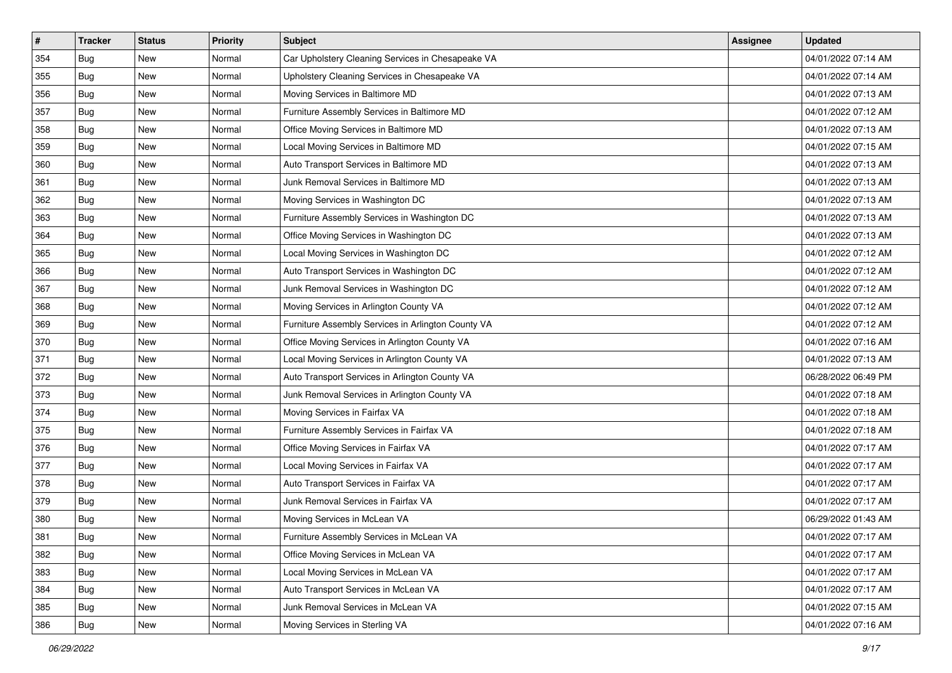| $\#$ | <b>Tracker</b> | <b>Status</b> | <b>Priority</b> | Subject                                            | Assignee | <b>Updated</b>      |
|------|----------------|---------------|-----------------|----------------------------------------------------|----------|---------------------|
| 354  | Bug            | New           | Normal          | Car Upholstery Cleaning Services in Chesapeake VA  |          | 04/01/2022 07:14 AM |
| 355  | Bug            | New           | Normal          | Upholstery Cleaning Services in Chesapeake VA      |          | 04/01/2022 07:14 AM |
| 356  | Bug            | New           | Normal          | Moving Services in Baltimore MD                    |          | 04/01/2022 07:13 AM |
| 357  | Bug            | New           | Normal          | Furniture Assembly Services in Baltimore MD        |          | 04/01/2022 07:12 AM |
| 358  | <b>Bug</b>     | New           | Normal          | Office Moving Services in Baltimore MD             |          | 04/01/2022 07:13 AM |
| 359  | Bug            | New           | Normal          | Local Moving Services in Baltimore MD              |          | 04/01/2022 07:15 AM |
| 360  | Bug            | New           | Normal          | Auto Transport Services in Baltimore MD            |          | 04/01/2022 07:13 AM |
| 361  | Bug            | New           | Normal          | Junk Removal Services in Baltimore MD              |          | 04/01/2022 07:13 AM |
| 362  | Bug            | New           | Normal          | Moving Services in Washington DC                   |          | 04/01/2022 07:13 AM |
| 363  | Bug            | New           | Normal          | Furniture Assembly Services in Washington DC       |          | 04/01/2022 07:13 AM |
| 364  | Bug            | New           | Normal          | Office Moving Services in Washington DC            |          | 04/01/2022 07:13 AM |
| 365  | Bug            | New           | Normal          | Local Moving Services in Washington DC             |          | 04/01/2022 07:12 AM |
| 366  | Bug            | New           | Normal          | Auto Transport Services in Washington DC           |          | 04/01/2022 07:12 AM |
| 367  | Bug            | New           | Normal          | Junk Removal Services in Washington DC             |          | 04/01/2022 07:12 AM |
| 368  | <b>Bug</b>     | New           | Normal          | Moving Services in Arlington County VA             |          | 04/01/2022 07:12 AM |
| 369  | Bug            | New           | Normal          | Furniture Assembly Services in Arlington County VA |          | 04/01/2022 07:12 AM |
| 370  | Bug            | New           | Normal          | Office Moving Services in Arlington County VA      |          | 04/01/2022 07:16 AM |
| 371  | <b>Bug</b>     | New           | Normal          | Local Moving Services in Arlington County VA       |          | 04/01/2022 07:13 AM |
| 372  | Bug            | New           | Normal          | Auto Transport Services in Arlington County VA     |          | 06/28/2022 06:49 PM |
| 373  | Bug            | New           | Normal          | Junk Removal Services in Arlington County VA       |          | 04/01/2022 07:18 AM |
| 374  | Bug            | New           | Normal          | Moving Services in Fairfax VA                      |          | 04/01/2022 07:18 AM |
| 375  | Bug            | New           | Normal          | Furniture Assembly Services in Fairfax VA          |          | 04/01/2022 07:18 AM |
| 376  | <b>Bug</b>     | New           | Normal          | Office Moving Services in Fairfax VA               |          | 04/01/2022 07:17 AM |
| 377  | Bug            | New           | Normal          | Local Moving Services in Fairfax VA                |          | 04/01/2022 07:17 AM |
| 378  | Bug            | New           | Normal          | Auto Transport Services in Fairfax VA              |          | 04/01/2022 07:17 AM |
| 379  | Bug            | New           | Normal          | Junk Removal Services in Fairfax VA                |          | 04/01/2022 07:17 AM |
| 380  | <b>Bug</b>     | New           | Normal          | Moving Services in McLean VA                       |          | 06/29/2022 01:43 AM |
| 381  | <b>Bug</b>     | New           | Normal          | Furniture Assembly Services in McLean VA           |          | 04/01/2022 07:17 AM |
| 382  | Bug            | New           | Normal          | Office Moving Services in McLean VA                |          | 04/01/2022 07:17 AM |
| 383  | <b>Bug</b>     | New           | Normal          | Local Moving Services in McLean VA                 |          | 04/01/2022 07:17 AM |
| 384  | <b>Bug</b>     | New           | Normal          | Auto Transport Services in McLean VA               |          | 04/01/2022 07:17 AM |
| 385  | <b>Bug</b>     | New           | Normal          | Junk Removal Services in McLean VA                 |          | 04/01/2022 07:15 AM |
| 386  | <b>Bug</b>     | New           | Normal          | Moving Services in Sterling VA                     |          | 04/01/2022 07:16 AM |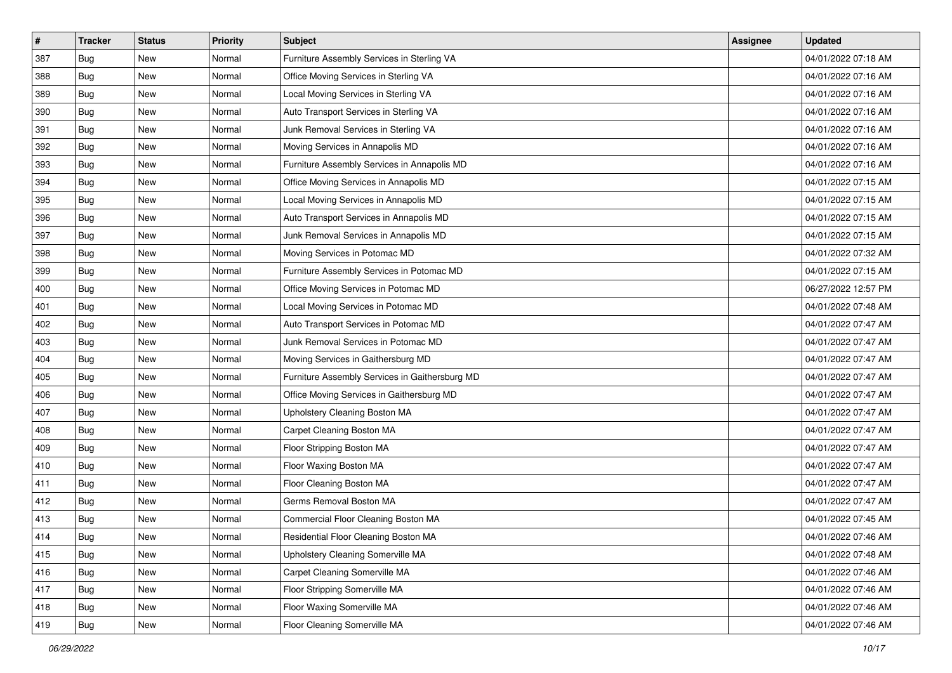| $\#$ | <b>Tracker</b> | <b>Status</b> | <b>Priority</b> | Subject                                        | Assignee | <b>Updated</b>      |
|------|----------------|---------------|-----------------|------------------------------------------------|----------|---------------------|
| 387  | Bug            | New           | Normal          | Furniture Assembly Services in Sterling VA     |          | 04/01/2022 07:18 AM |
| 388  | Bug            | New           | Normal          | Office Moving Services in Sterling VA          |          | 04/01/2022 07:16 AM |
| 389  | Bug            | New           | Normal          | Local Moving Services in Sterling VA           |          | 04/01/2022 07:16 AM |
| 390  | Bug            | New           | Normal          | Auto Transport Services in Sterling VA         |          | 04/01/2022 07:16 AM |
| 391  | <b>Bug</b>     | New           | Normal          | Junk Removal Services in Sterling VA           |          | 04/01/2022 07:16 AM |
| 392  | Bug            | New           | Normal          | Moving Services in Annapolis MD                |          | 04/01/2022 07:16 AM |
| 393  | Bug            | New           | Normal          | Furniture Assembly Services in Annapolis MD    |          | 04/01/2022 07:16 AM |
| 394  | Bug            | New           | Normal          | Office Moving Services in Annapolis MD         |          | 04/01/2022 07:15 AM |
| 395  | Bug            | New           | Normal          | Local Moving Services in Annapolis MD          |          | 04/01/2022 07:15 AM |
| 396  | Bug            | New           | Normal          | Auto Transport Services in Annapolis MD        |          | 04/01/2022 07:15 AM |
| 397  | Bug            | New           | Normal          | Junk Removal Services in Annapolis MD          |          | 04/01/2022 07:15 AM |
| 398  | Bug            | New           | Normal          | Moving Services in Potomac MD                  |          | 04/01/2022 07:32 AM |
| 399  | Bug            | New           | Normal          | Furniture Assembly Services in Potomac MD      |          | 04/01/2022 07:15 AM |
| 400  | Bug            | New           | Normal          | Office Moving Services in Potomac MD           |          | 06/27/2022 12:57 PM |
| 401  | <b>Bug</b>     | New           | Normal          | Local Moving Services in Potomac MD            |          | 04/01/2022 07:48 AM |
| 402  | Bug            | New           | Normal          | Auto Transport Services in Potomac MD          |          | 04/01/2022 07:47 AM |
| 403  | Bug            | New           | Normal          | Junk Removal Services in Potomac MD            |          | 04/01/2022 07:47 AM |
| 404  | <b>Bug</b>     | New           | Normal          | Moving Services in Gaithersburg MD             |          | 04/01/2022 07:47 AM |
| 405  | Bug            | New           | Normal          | Furniture Assembly Services in Gaithersburg MD |          | 04/01/2022 07:47 AM |
| 406  | Bug            | New           | Normal          | Office Moving Services in Gaithersburg MD      |          | 04/01/2022 07:47 AM |
| 407  | Bug            | New           | Normal          | Upholstery Cleaning Boston MA                  |          | 04/01/2022 07:47 AM |
| 408  | Bug            | New           | Normal          | Carpet Cleaning Boston MA                      |          | 04/01/2022 07:47 AM |
| 409  | <b>Bug</b>     | New           | Normal          | Floor Stripping Boston MA                      |          | 04/01/2022 07:47 AM |
| 410  | Bug            | New           | Normal          | Floor Waxing Boston MA                         |          | 04/01/2022 07:47 AM |
| 411  | Bug            | New           | Normal          | Floor Cleaning Boston MA                       |          | 04/01/2022 07:47 AM |
| 412  | Bug            | New           | Normal          | Germs Removal Boston MA                        |          | 04/01/2022 07:47 AM |
| 413  | <b>Bug</b>     | New           | Normal          | Commercial Floor Cleaning Boston MA            |          | 04/01/2022 07:45 AM |
| 414  | <b>Bug</b>     | New           | Normal          | Residential Floor Cleaning Boston MA           |          | 04/01/2022 07:46 AM |
| 415  | Bug            | New           | Normal          | Upholstery Cleaning Somerville MA              |          | 04/01/2022 07:48 AM |
| 416  | <b>Bug</b>     | New           | Normal          | Carpet Cleaning Somerville MA                  |          | 04/01/2022 07:46 AM |
| 417  | Bug            | New           | Normal          | Floor Stripping Somerville MA                  |          | 04/01/2022 07:46 AM |
| 418  | <b>Bug</b>     | New           | Normal          | Floor Waxing Somerville MA                     |          | 04/01/2022 07:46 AM |
| 419  | <b>Bug</b>     | New           | Normal          | Floor Cleaning Somerville MA                   |          | 04/01/2022 07:46 AM |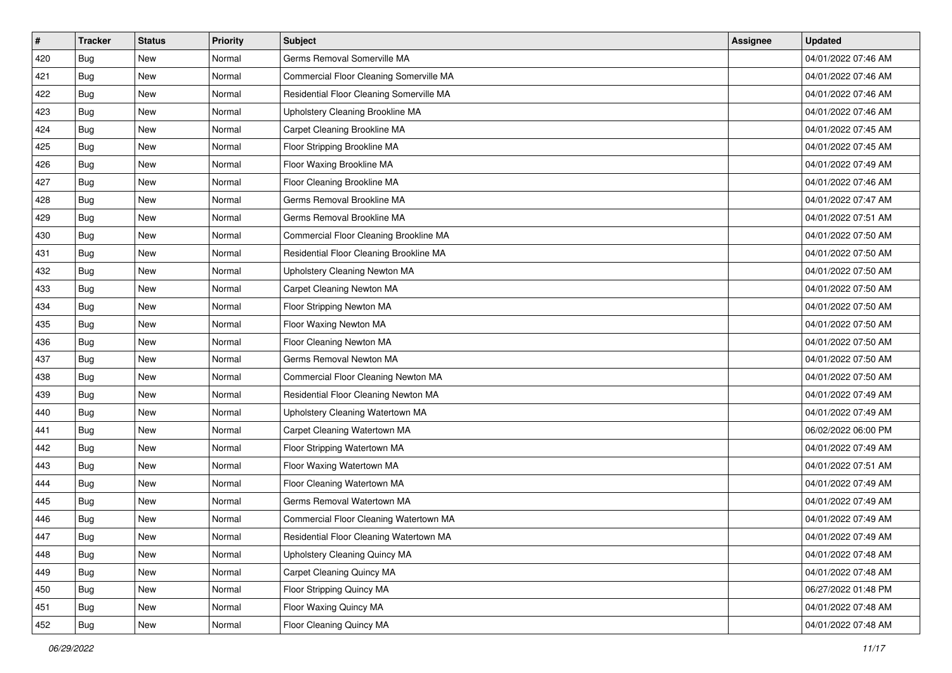| #   | <b>Tracker</b> | <b>Status</b> | <b>Priority</b> | <b>Subject</b>                           | <b>Assignee</b> | <b>Updated</b>      |
|-----|----------------|---------------|-----------------|------------------------------------------|-----------------|---------------------|
| 420 | <b>Bug</b>     | New           | Normal          | Germs Removal Somerville MA              |                 | 04/01/2022 07:46 AM |
| 421 | <b>Bug</b>     | New           | Normal          | Commercial Floor Cleaning Somerville MA  |                 | 04/01/2022 07:46 AM |
| 422 | Bug            | New           | Normal          | Residential Floor Cleaning Somerville MA |                 | 04/01/2022 07:46 AM |
| 423 | Bug            | New           | Normal          | Upholstery Cleaning Brookline MA         |                 | 04/01/2022 07:46 AM |
| 424 | <b>Bug</b>     | New           | Normal          | Carpet Cleaning Brookline MA             |                 | 04/01/2022 07:45 AM |
| 425 | <b>Bug</b>     | New           | Normal          | Floor Stripping Brookline MA             |                 | 04/01/2022 07:45 AM |
| 426 | Bug            | New           | Normal          | Floor Waxing Brookline MA                |                 | 04/01/2022 07:49 AM |
| 427 | <b>Bug</b>     | New           | Normal          | Floor Cleaning Brookline MA              |                 | 04/01/2022 07:46 AM |
| 428 | Bug            | New           | Normal          | Germs Removal Brookline MA               |                 | 04/01/2022 07:47 AM |
| 429 | <b>Bug</b>     | New           | Normal          | Germs Removal Brookline MA               |                 | 04/01/2022 07:51 AM |
| 430 | <b>Bug</b>     | New           | Normal          | Commercial Floor Cleaning Brookline MA   |                 | 04/01/2022 07:50 AM |
| 431 | Bug            | New           | Normal          | Residential Floor Cleaning Brookline MA  |                 | 04/01/2022 07:50 AM |
| 432 | <b>Bug</b>     | New           | Normal          | Upholstery Cleaning Newton MA            |                 | 04/01/2022 07:50 AM |
| 433 | Bug            | New           | Normal          | Carpet Cleaning Newton MA                |                 | 04/01/2022 07:50 AM |
| 434 | Bug            | New           | Normal          | Floor Stripping Newton MA                |                 | 04/01/2022 07:50 AM |
| 435 | Bug            | New           | Normal          | Floor Waxing Newton MA                   |                 | 04/01/2022 07:50 AM |
| 436 | Bug            | New           | Normal          | Floor Cleaning Newton MA                 |                 | 04/01/2022 07:50 AM |
| 437 | <b>Bug</b>     | New           | Normal          | Germs Removal Newton MA                  |                 | 04/01/2022 07:50 AM |
| 438 | <b>Bug</b>     | New           | Normal          | Commercial Floor Cleaning Newton MA      |                 | 04/01/2022 07:50 AM |
| 439 | <b>Bug</b>     | New           | Normal          | Residential Floor Cleaning Newton MA     |                 | 04/01/2022 07:49 AM |
| 440 | <b>Bug</b>     | New           | Normal          | Upholstery Cleaning Watertown MA         |                 | 04/01/2022 07:49 AM |
| 441 | Bug            | New           | Normal          | Carpet Cleaning Watertown MA             |                 | 06/02/2022 06:00 PM |
| 442 | <b>Bug</b>     | New           | Normal          | Floor Stripping Watertown MA             |                 | 04/01/2022 07:49 AM |
| 443 | <b>Bug</b>     | New           | Normal          | Floor Waxing Watertown MA                |                 | 04/01/2022 07:51 AM |
| 444 | <b>Bug</b>     | New           | Normal          | Floor Cleaning Watertown MA              |                 | 04/01/2022 07:49 AM |
| 445 | Bug            | New           | Normal          | Germs Removal Watertown MA               |                 | 04/01/2022 07:49 AM |
| 446 | <b>Bug</b>     | New           | Normal          | Commercial Floor Cleaning Watertown MA   |                 | 04/01/2022 07:49 AM |
| 447 | <b>Bug</b>     | New           | Normal          | Residential Floor Cleaning Watertown MA  |                 | 04/01/2022 07:49 AM |
| 448 | <b>Bug</b>     | New           | Normal          | Upholstery Cleaning Quincy MA            |                 | 04/01/2022 07:48 AM |
| 449 | <b>Bug</b>     | New           | Normal          | Carpet Cleaning Quincy MA                |                 | 04/01/2022 07:48 AM |
| 450 | <b>Bug</b>     | New           | Normal          | Floor Stripping Quincy MA                |                 | 06/27/2022 01:48 PM |
| 451 | <b>Bug</b>     | New           | Normal          | Floor Waxing Quincy MA                   |                 | 04/01/2022 07:48 AM |
| 452 | <b>Bug</b>     | New           | Normal          | Floor Cleaning Quincy MA                 |                 | 04/01/2022 07:48 AM |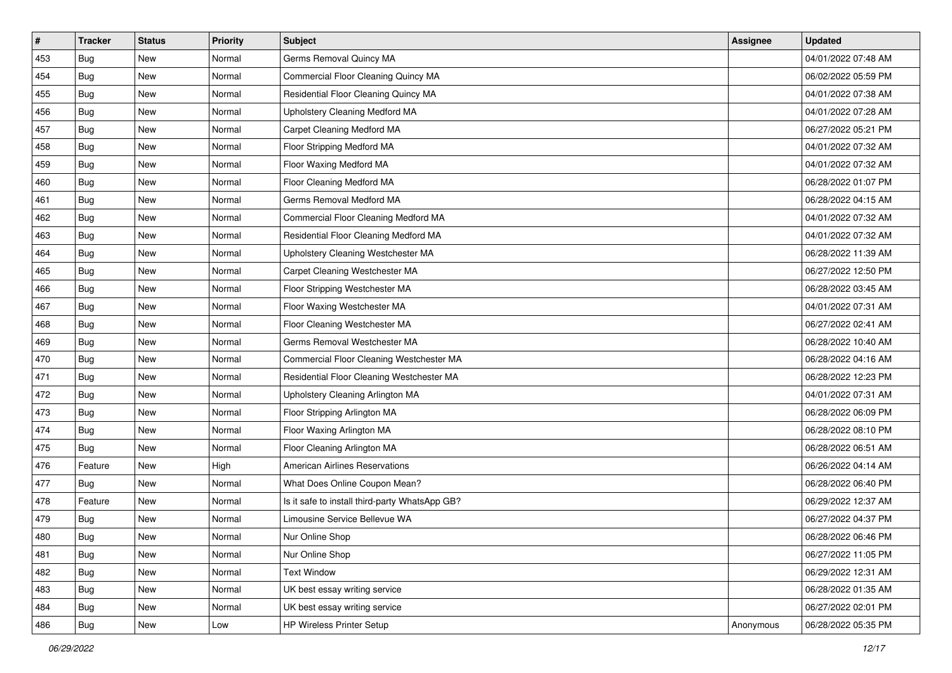| #   | <b>Tracker</b> | <b>Status</b> | <b>Priority</b> | Subject                                        | <b>Assignee</b> | <b>Updated</b>      |
|-----|----------------|---------------|-----------------|------------------------------------------------|-----------------|---------------------|
| 453 | Bug            | New           | Normal          | Germs Removal Quincy MA                        |                 | 04/01/2022 07:48 AM |
| 454 | <b>Bug</b>     | New           | Normal          | Commercial Floor Cleaning Quincy MA            |                 | 06/02/2022 05:59 PM |
| 455 | Bug            | New           | Normal          | Residential Floor Cleaning Quincy MA           |                 | 04/01/2022 07:38 AM |
| 456 | Bug            | New           | Normal          | Upholstery Cleaning Medford MA                 |                 | 04/01/2022 07:28 AM |
| 457 | <b>Bug</b>     | New           | Normal          | Carpet Cleaning Medford MA                     |                 | 06/27/2022 05:21 PM |
| 458 | Bug            | New           | Normal          | Floor Stripping Medford MA                     |                 | 04/01/2022 07:32 AM |
| 459 | <b>Bug</b>     | New           | Normal          | Floor Waxing Medford MA                        |                 | 04/01/2022 07:32 AM |
| 460 | Bug            | New           | Normal          | Floor Cleaning Medford MA                      |                 | 06/28/2022 01:07 PM |
| 461 | Bug            | New           | Normal          | Germs Removal Medford MA                       |                 | 06/28/2022 04:15 AM |
| 462 | <b>Bug</b>     | <b>New</b>    | Normal          | Commercial Floor Cleaning Medford MA           |                 | 04/01/2022 07:32 AM |
| 463 | <b>Bug</b>     | New           | Normal          | Residential Floor Cleaning Medford MA          |                 | 04/01/2022 07:32 AM |
| 464 | Bug            | New           | Normal          | Upholstery Cleaning Westchester MA             |                 | 06/28/2022 11:39 AM |
| 465 | Bug            | New           | Normal          | Carpet Cleaning Westchester MA                 |                 | 06/27/2022 12:50 PM |
| 466 | <b>Bug</b>     | New           | Normal          | Floor Stripping Westchester MA                 |                 | 06/28/2022 03:45 AM |
| 467 | <b>Bug</b>     | New           | Normal          | Floor Waxing Westchester MA                    |                 | 04/01/2022 07:31 AM |
| 468 | Bug            | New           | Normal          | Floor Cleaning Westchester MA                  |                 | 06/27/2022 02:41 AM |
| 469 | Bug            | New           | Normal          | Germs Removal Westchester MA                   |                 | 06/28/2022 10:40 AM |
| 470 | <b>Bug</b>     | New           | Normal          | Commercial Floor Cleaning Westchester MA       |                 | 06/28/2022 04:16 AM |
| 471 | Bug            | New           | Normal          | Residential Floor Cleaning Westchester MA      |                 | 06/28/2022 12:23 PM |
| 472 | <b>Bug</b>     | New           | Normal          | Upholstery Cleaning Arlington MA               |                 | 04/01/2022 07:31 AM |
| 473 | Bug            | New           | Normal          | Floor Stripping Arlington MA                   |                 | 06/28/2022 06:09 PM |
| 474 | <b>Bug</b>     | New           | Normal          | Floor Waxing Arlington MA                      |                 | 06/28/2022 08:10 PM |
| 475 | Bug            | New           | Normal          | Floor Cleaning Arlington MA                    |                 | 06/28/2022 06:51 AM |
| 476 | Feature        | New           | High            | <b>American Airlines Reservations</b>          |                 | 06/26/2022 04:14 AM |
| 477 | Bug            | New           | Normal          | What Does Online Coupon Mean?                  |                 | 06/28/2022 06:40 PM |
| 478 | Feature        | New           | Normal          | Is it safe to install third-party WhatsApp GB? |                 | 06/29/2022 12:37 AM |
| 479 | Bug            | New           | Normal          | Limousine Service Bellevue WA                  |                 | 06/27/2022 04:37 PM |
| 480 | <b>Bug</b>     | New           | Normal          | Nur Online Shop                                |                 | 06/28/2022 06:46 PM |
| 481 | Bug            | New           | Normal          | Nur Online Shop                                |                 | 06/27/2022 11:05 PM |
| 482 | Bug            | New           | Normal          | <b>Text Window</b>                             |                 | 06/29/2022 12:31 AM |
| 483 | Bug            | New           | Normal          | UK best essay writing service                  |                 | 06/28/2022 01:35 AM |
| 484 | Bug            | New           | Normal          | UK best essay writing service                  |                 | 06/27/2022 02:01 PM |
| 486 | <b>Bug</b>     | New           | Low             | <b>HP Wireless Printer Setup</b>               | Anonymous       | 06/28/2022 05:35 PM |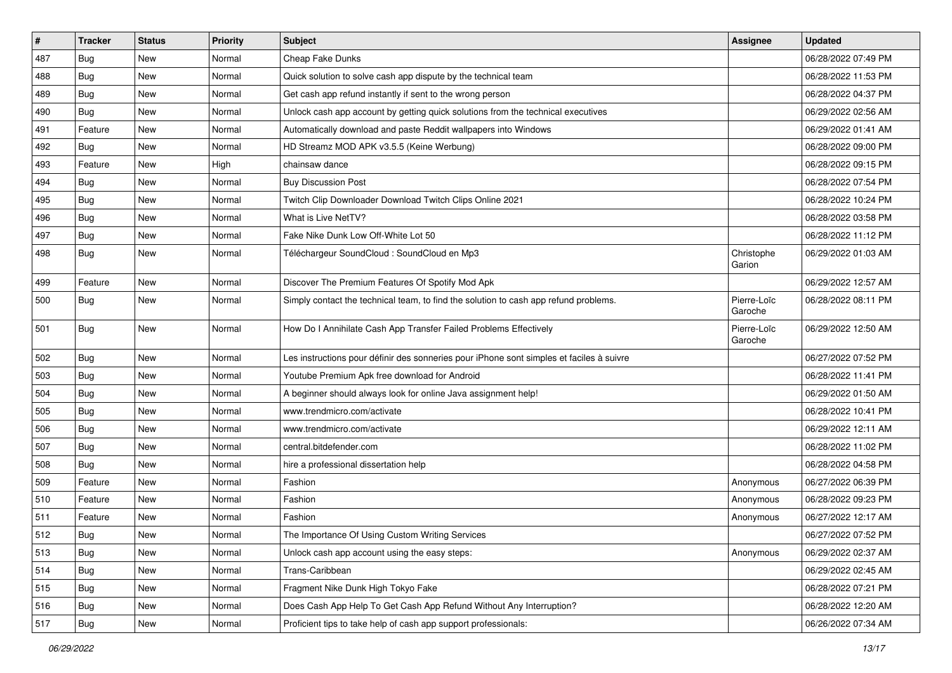| #   | <b>Tracker</b> | <b>Status</b> | <b>Priority</b> | <b>Subject</b>                                                                           | <b>Assignee</b>        | <b>Updated</b>      |
|-----|----------------|---------------|-----------------|------------------------------------------------------------------------------------------|------------------------|---------------------|
| 487 | <b>Bug</b>     | New           | Normal          | Cheap Fake Dunks                                                                         |                        | 06/28/2022 07:49 PM |
| 488 | Bug            | <b>New</b>    | Normal          | Quick solution to solve cash app dispute by the technical team                           |                        | 06/28/2022 11:53 PM |
| 489 | Bug            | New           | Normal          | Get cash app refund instantly if sent to the wrong person                                |                        | 06/28/2022 04:37 PM |
| 490 | <b>Bug</b>     | <b>New</b>    | Normal          | Unlock cash app account by getting quick solutions from the technical executives         |                        | 06/29/2022 02:56 AM |
| 491 | Feature        | <b>New</b>    | Normal          | Automatically download and paste Reddit wallpapers into Windows                          |                        | 06/29/2022 01:41 AM |
| 492 | Bug            | New           | Normal          | HD Streamz MOD APK v3.5.5 (Keine Werbung)                                                |                        | 06/28/2022 09:00 PM |
| 493 | Feature        | New           | High            | chainsaw dance                                                                           |                        | 06/28/2022 09:15 PM |
| 494 | Bug            | New           | Normal          | <b>Buy Discussion Post</b>                                                               |                        | 06/28/2022 07:54 PM |
| 495 | <b>Bug</b>     | <b>New</b>    | Normal          | Twitch Clip Downloader Download Twitch Clips Online 2021                                 |                        | 06/28/2022 10:24 PM |
| 496 | <b>Bug</b>     | New           | Normal          | What is Live NetTV?                                                                      |                        | 06/28/2022 03:58 PM |
| 497 | Bug            | <b>New</b>    | Normal          | Fake Nike Dunk Low Off-White Lot 50                                                      |                        | 06/28/2022 11:12 PM |
| 498 | Bug            | New           | Normal          | Téléchargeur SoundCloud : SoundCloud en Mp3                                              | Christophe<br>Garion   | 06/29/2022 01:03 AM |
| 499 | Feature        | New           | Normal          | Discover The Premium Features Of Spotify Mod Apk                                         |                        | 06/29/2022 12:57 AM |
| 500 | <b>Bug</b>     | New           | Normal          | Simply contact the technical team, to find the solution to cash app refund problems.     | Pierre-Loïc<br>Garoche | 06/28/2022 08:11 PM |
| 501 | <b>Bug</b>     | <b>New</b>    | Normal          | How Do I Annihilate Cash App Transfer Failed Problems Effectively                        | Pierre-Loïc<br>Garoche | 06/29/2022 12:50 AM |
| 502 | Bug            | <b>New</b>    | Normal          | Les instructions pour définir des sonneries pour iPhone sont simples et faciles à suivre |                        | 06/27/2022 07:52 PM |
| 503 | Bug            | New           | Normal          | Youtube Premium Apk free download for Android                                            |                        | 06/28/2022 11:41 PM |
| 504 | <b>Bug</b>     | <b>New</b>    | Normal          | A beginner should always look for online Java assignment help!                           |                        | 06/29/2022 01:50 AM |
| 505 | Bug            | <b>New</b>    | Normal          | www.trendmicro.com/activate                                                              |                        | 06/28/2022 10:41 PM |
| 506 | <b>Bug</b>     | New           | Normal          | www.trendmicro.com/activate                                                              |                        | 06/29/2022 12:11 AM |
| 507 | Bug            | New           | Normal          | central.bitdefender.com                                                                  |                        | 06/28/2022 11:02 PM |
| 508 | <b>Bug</b>     | <b>New</b>    | Normal          | hire a professional dissertation help                                                    |                        | 06/28/2022 04:58 PM |
| 509 | Feature        | <b>New</b>    | Normal          | Fashion                                                                                  | Anonymous              | 06/27/2022 06:39 PM |
| 510 | Feature        | New           | Normal          | Fashion                                                                                  | Anonymous              | 06/28/2022 09:23 PM |
| 511 | Feature        | New           | Normal          | Fashion                                                                                  | Anonymous              | 06/27/2022 12:17 AM |
| 512 | Bug            | New           | Normal          | The Importance Of Using Custom Writing Services                                          |                        | 06/27/2022 07:52 PM |
| 513 | Bug            | New           | Normal          | Unlock cash app account using the easy steps:                                            | Anonymous              | 06/29/2022 02:37 AM |
| 514 | Bug            | New           | Normal          | Trans-Caribbean                                                                          |                        | 06/29/2022 02:45 AM |
| 515 | Bug            | New           | Normal          | Fragment Nike Dunk High Tokyo Fake                                                       |                        | 06/28/2022 07:21 PM |
| 516 | Bug            | New           | Normal          | Does Cash App Help To Get Cash App Refund Without Any Interruption?                      |                        | 06/28/2022 12:20 AM |
| 517 | <b>Bug</b>     | New           | Normal          | Proficient tips to take help of cash app support professionals:                          |                        | 06/26/2022 07:34 AM |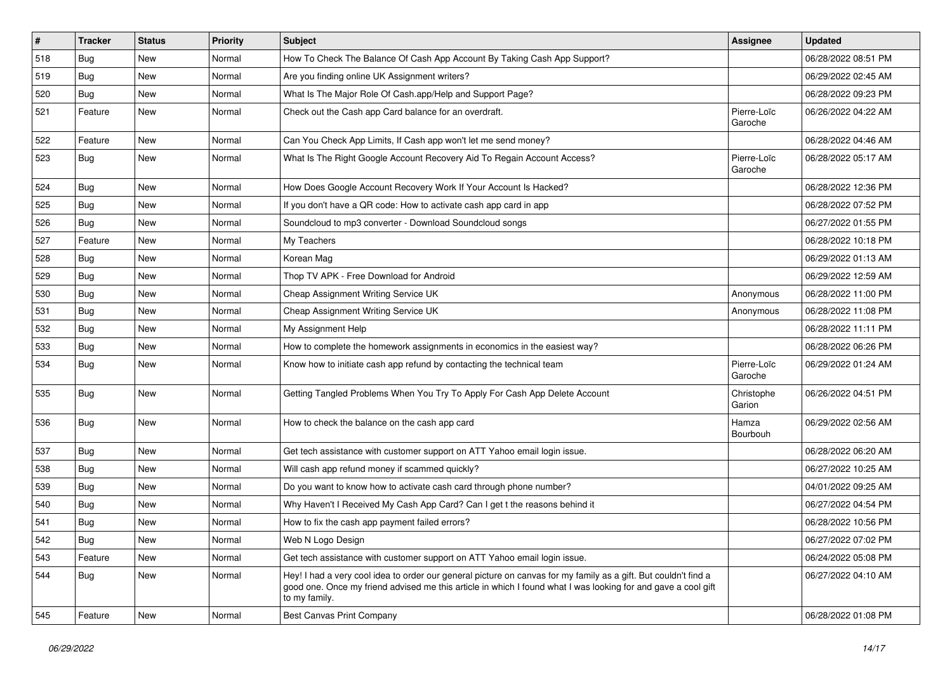| $\sharp$ | <b>Tracker</b> | <b>Status</b> | <b>Priority</b> | Subject                                                                                                                                                                                                                                           | <b>Assignee</b>        | <b>Updated</b>      |
|----------|----------------|---------------|-----------------|---------------------------------------------------------------------------------------------------------------------------------------------------------------------------------------------------------------------------------------------------|------------------------|---------------------|
| 518      | <b>Bug</b>     | New           | Normal          | How To Check The Balance Of Cash App Account By Taking Cash App Support?                                                                                                                                                                          |                        | 06/28/2022 08:51 PM |
| 519      | <b>Bug</b>     | New           | Normal          | Are you finding online UK Assignment writers?                                                                                                                                                                                                     |                        | 06/29/2022 02:45 AM |
| 520      | <b>Bug</b>     | New           | Normal          | What Is The Major Role Of Cash.app/Help and Support Page?                                                                                                                                                                                         |                        | 06/28/2022 09:23 PM |
| 521      | Feature        | New           | Normal          | Check out the Cash app Card balance for an overdraft.                                                                                                                                                                                             | Pierre-Loïc<br>Garoche | 06/26/2022 04:22 AM |
| 522      | Feature        | <b>New</b>    | Normal          | Can You Check App Limits, If Cash app won't let me send money?                                                                                                                                                                                    |                        | 06/28/2022 04:46 AM |
| 523      | <b>Bug</b>     | New           | Normal          | What Is The Right Google Account Recovery Aid To Regain Account Access?                                                                                                                                                                           | Pierre-Loïc<br>Garoche | 06/28/2022 05:17 AM |
| 524      | <b>Bug</b>     | <b>New</b>    | Normal          | How Does Google Account Recovery Work If Your Account Is Hacked?                                                                                                                                                                                  |                        | 06/28/2022 12:36 PM |
| 525      | <b>Bug</b>     | New           | Normal          | If you don't have a QR code: How to activate cash app card in app                                                                                                                                                                                 |                        | 06/28/2022 07:52 PM |
| 526      | <b>Bug</b>     | New           | Normal          | Soundcloud to mp3 converter - Download Soundcloud songs                                                                                                                                                                                           |                        | 06/27/2022 01:55 PM |
| 527      | Feature        | New           | Normal          | My Teachers                                                                                                                                                                                                                                       |                        | 06/28/2022 10:18 PM |
| 528      | <b>Bug</b>     | New           | Normal          | Korean Mag                                                                                                                                                                                                                                        |                        | 06/29/2022 01:13 AM |
| 529      | <b>Bug</b>     | New           | Normal          | Thop TV APK - Free Download for Android                                                                                                                                                                                                           |                        | 06/29/2022 12:59 AM |
| 530      | <b>Bug</b>     | New           | Normal          | Cheap Assignment Writing Service UK                                                                                                                                                                                                               | Anonymous              | 06/28/2022 11:00 PM |
| 531      | <b>Bug</b>     | New           | Normal          | Cheap Assignment Writing Service UK                                                                                                                                                                                                               | Anonymous              | 06/28/2022 11:08 PM |
| 532      | <b>Bug</b>     | New           | Normal          | My Assignment Help                                                                                                                                                                                                                                |                        | 06/28/2022 11:11 PM |
| 533      | Bug            | <b>New</b>    | Normal          | How to complete the homework assignments in economics in the easiest way?                                                                                                                                                                         |                        | 06/28/2022 06:26 PM |
| 534      | <b>Bug</b>     | New           | Normal          | Know how to initiate cash app refund by contacting the technical team                                                                                                                                                                             | Pierre-Loïc<br>Garoche | 06/29/2022 01:24 AM |
| 535      | <b>Bug</b>     | <b>New</b>    | Normal          | Getting Tangled Problems When You Try To Apply For Cash App Delete Account                                                                                                                                                                        | Christophe<br>Garion   | 06/26/2022 04:51 PM |
| 536      | <b>Bug</b>     | New           | Normal          | How to check the balance on the cash app card                                                                                                                                                                                                     | Hamza<br>Bourbouh      | 06/29/2022 02:56 AM |
| 537      | <b>Bug</b>     | <b>New</b>    | Normal          | Get tech assistance with customer support on ATT Yahoo email login issue.                                                                                                                                                                         |                        | 06/28/2022 06:20 AM |
| 538      | Bug            | New           | Normal          | Will cash app refund money if scammed quickly?                                                                                                                                                                                                    |                        | 06/27/2022 10:25 AM |
| 539      | <b>Bug</b>     | New           | Normal          | Do you want to know how to activate cash card through phone number?                                                                                                                                                                               |                        | 04/01/2022 09:25 AM |
| 540      | Bug            | New           | Normal          | Why Haven't I Received My Cash App Card? Can I get t the reasons behind it                                                                                                                                                                        |                        | 06/27/2022 04:54 PM |
| 541      | <b>Bug</b>     | New           | Normal          | How to fix the cash app payment failed errors?                                                                                                                                                                                                    |                        | 06/28/2022 10:56 PM |
| 542      | Bug            | New           | Normal          | Web N Logo Design                                                                                                                                                                                                                                 |                        | 06/27/2022 07:02 PM |
| 543      | Feature        | New           | Normal          | Get tech assistance with customer support on ATT Yahoo email login issue.                                                                                                                                                                         |                        | 06/24/2022 05:08 PM |
| 544      | Bug            | New           | Normal          | Hey! I had a very cool idea to order our general picture on canvas for my family as a gift. But couldn't find a<br>good one. Once my friend advised me this article in which I found what I was looking for and gave a cool gift<br>to my family. |                        | 06/27/2022 04:10 AM |
| 545      | Feature        | New           | Normal          | <b>Best Canvas Print Company</b>                                                                                                                                                                                                                  |                        | 06/28/2022 01:08 PM |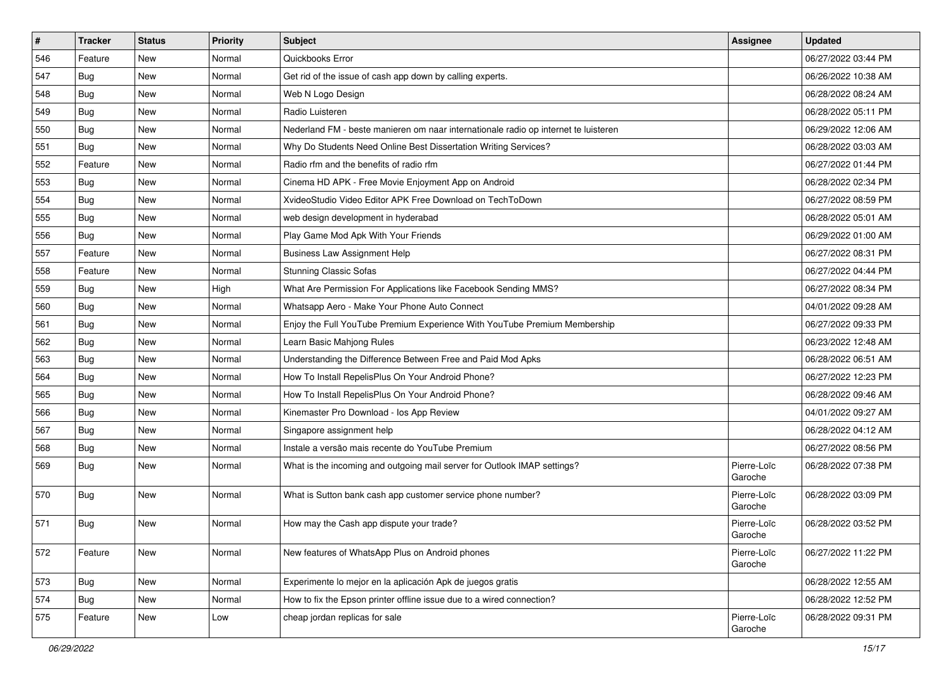| $\sharp$ | <b>Tracker</b> | <b>Status</b> | Priority | Subject                                                                             | <b>Assignee</b>        | <b>Updated</b>      |
|----------|----------------|---------------|----------|-------------------------------------------------------------------------------------|------------------------|---------------------|
| 546      | Feature        | New           | Normal   | Quickbooks Error                                                                    |                        | 06/27/2022 03:44 PM |
| 547      | <b>Bug</b>     | <b>New</b>    | Normal   | Get rid of the issue of cash app down by calling experts.                           |                        | 06/26/2022 10:38 AM |
| 548      | <b>Bug</b>     | New           | Normal   | Web N Logo Design                                                                   |                        | 06/28/2022 08:24 AM |
| 549      | <b>Bug</b>     | <b>New</b>    | Normal   | Radio Luisteren                                                                     |                        | 06/28/2022 05:11 PM |
| 550      | <b>Bug</b>     | <b>New</b>    | Normal   | Nederland FM - beste manieren om naar internationale radio op internet te luisteren |                        | 06/29/2022 12:06 AM |
| 551      | Bug            | <b>New</b>    | Normal   | Why Do Students Need Online Best Dissertation Writing Services?                     |                        | 06/28/2022 03:03 AM |
| 552      | Feature        | <b>New</b>    | Normal   | Radio rfm and the benefits of radio rfm                                             |                        | 06/27/2022 01:44 PM |
| 553      | <b>Bug</b>     | <b>New</b>    | Normal   | Cinema HD APK - Free Movie Enjoyment App on Android                                 |                        | 06/28/2022 02:34 PM |
| 554      | <b>Bug</b>     | <b>New</b>    | Normal   | XvideoStudio Video Editor APK Free Download on TechToDown                           |                        | 06/27/2022 08:59 PM |
| 555      | <b>Bug</b>     | <b>New</b>    | Normal   | web design development in hyderabad                                                 |                        | 06/28/2022 05:01 AM |
| 556      | <b>Bug</b>     | <b>New</b>    | Normal   | Play Game Mod Apk With Your Friends                                                 |                        | 06/29/2022 01:00 AM |
| 557      | Feature        | New           | Normal   | <b>Business Law Assignment Help</b>                                                 |                        | 06/27/2022 08:31 PM |
| 558      | Feature        | <b>New</b>    | Normal   | <b>Stunning Classic Sofas</b>                                                       |                        | 06/27/2022 04:44 PM |
| 559      | <b>Bug</b>     | <b>New</b>    | High     | What Are Permission For Applications like Facebook Sending MMS?                     |                        | 06/27/2022 08:34 PM |
| 560      | Bug            | <b>New</b>    | Normal   | Whatsapp Aero - Make Your Phone Auto Connect                                        |                        | 04/01/2022 09:28 AM |
| 561      | <b>Bug</b>     | New           | Normal   | Enjoy the Full YouTube Premium Experience With YouTube Premium Membership           |                        | 06/27/2022 09:33 PM |
| 562      | <b>Bug</b>     | <b>New</b>    | Normal   | Learn Basic Mahjong Rules                                                           |                        | 06/23/2022 12:48 AM |
| 563      | <b>Bug</b>     | <b>New</b>    | Normal   | Understanding the Difference Between Free and Paid Mod Apks                         |                        | 06/28/2022 06:51 AM |
| 564      | <b>Bug</b>     | <b>New</b>    | Normal   | How To Install RepelisPlus On Your Android Phone?                                   |                        | 06/27/2022 12:23 PM |
| 565      | <b>Bug</b>     | <b>New</b>    | Normal   | How To Install RepelisPlus On Your Android Phone?                                   |                        | 06/28/2022 09:46 AM |
| 566      | <b>Bug</b>     | New           | Normal   | Kinemaster Pro Download - los App Review                                            |                        | 04/01/2022 09:27 AM |
| 567      | <b>Bug</b>     | <b>New</b>    | Normal   | Singapore assignment help                                                           |                        | 06/28/2022 04:12 AM |
| 568      | Bug            | <b>New</b>    | Normal   | Instale a versão mais recente do YouTube Premium                                    |                        | 06/27/2022 08:56 PM |
| 569      | <b>Bug</b>     | New           | Normal   | What is the incoming and outgoing mail server for Outlook IMAP settings?            | Pierre-Loïc<br>Garoche | 06/28/2022 07:38 PM |
| 570      | <b>Bug</b>     | New           | Normal   | What is Sutton bank cash app customer service phone number?                         | Pierre-Loïc<br>Garoche | 06/28/2022 03:09 PM |
| 571      | <b>Bug</b>     | <b>New</b>    | Normal   | How may the Cash app dispute your trade?                                            | Pierre-Loïc<br>Garoche | 06/28/2022 03:52 PM |
| 572      | Feature        | New           | Normal   | New features of WhatsApp Plus on Android phones                                     | Pierre-Loïc<br>Garoche | 06/27/2022 11:22 PM |
| 573      | Bug            | New           | Normal   | Experimente lo mejor en la aplicación Apk de juegos gratis                          |                        | 06/28/2022 12:55 AM |
| 574      | <b>Bug</b>     | New           | Normal   | How to fix the Epson printer offline issue due to a wired connection?               |                        | 06/28/2022 12:52 PM |
| 575      | Feature        | New           | Low      | cheap jordan replicas for sale                                                      | Pierre-Loïc<br>Garoche | 06/28/2022 09:31 PM |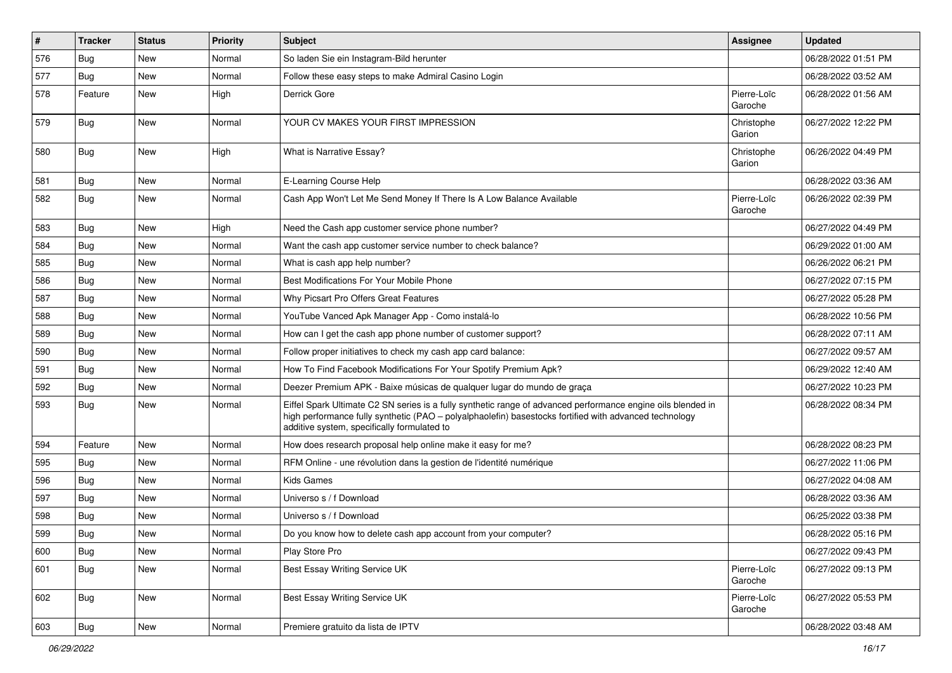| #   | <b>Tracker</b> | <b>Status</b> | <b>Priority</b> | <b>Subject</b>                                                                                                                                                                                                                                                        | <b>Assignee</b>        | <b>Updated</b>      |
|-----|----------------|---------------|-----------------|-----------------------------------------------------------------------------------------------------------------------------------------------------------------------------------------------------------------------------------------------------------------------|------------------------|---------------------|
| 576 | Bug            | New           | Normal          | So laden Sie ein Instagram-Bild herunter                                                                                                                                                                                                                              |                        | 06/28/2022 01:51 PM |
| 577 | Bug            | <b>New</b>    | Normal          | Follow these easy steps to make Admiral Casino Login                                                                                                                                                                                                                  |                        | 06/28/2022 03:52 AM |
| 578 | Feature        | New           | High            | Derrick Gore                                                                                                                                                                                                                                                          | Pierre-Loïc<br>Garoche | 06/28/2022 01:56 AM |
| 579 | <b>Bug</b>     | New           | Normal          | YOUR CV MAKES YOUR FIRST IMPRESSION                                                                                                                                                                                                                                   | Christophe<br>Garion   | 06/27/2022 12:22 PM |
| 580 | <b>Bug</b>     | New           | High            | What is Narrative Essay?                                                                                                                                                                                                                                              | Christophe<br>Garion   | 06/26/2022 04:49 PM |
| 581 | Bug            | New           | Normal          | E-Learning Course Help                                                                                                                                                                                                                                                |                        | 06/28/2022 03:36 AM |
| 582 | <b>Bug</b>     | New           | Normal          | Cash App Won't Let Me Send Money If There Is A Low Balance Available                                                                                                                                                                                                  | Pierre-Loïc<br>Garoche | 06/26/2022 02:39 PM |
| 583 | <b>Bug</b>     | New           | High            | Need the Cash app customer service phone number?                                                                                                                                                                                                                      |                        | 06/27/2022 04:49 PM |
| 584 | Bug            | New           | Normal          | Want the cash app customer service number to check balance?                                                                                                                                                                                                           |                        | 06/29/2022 01:00 AM |
| 585 | <b>Bug</b>     | New           | Normal          | What is cash app help number?                                                                                                                                                                                                                                         |                        | 06/26/2022 06:21 PM |
| 586 | <b>Bug</b>     | New           | Normal          | Best Modifications For Your Mobile Phone                                                                                                                                                                                                                              |                        | 06/27/2022 07:15 PM |
| 587 | Bug            | New           | Normal          | Why Picsart Pro Offers Great Features                                                                                                                                                                                                                                 |                        | 06/27/2022 05:28 PM |
| 588 | Bug            | New           | Normal          | YouTube Vanced Apk Manager App - Como instalá-lo                                                                                                                                                                                                                      |                        | 06/28/2022 10:56 PM |
| 589 | Bug            | New           | Normal          | How can I get the cash app phone number of customer support?                                                                                                                                                                                                          |                        | 06/28/2022 07:11 AM |
| 590 | Bug            | <b>New</b>    | Normal          | Follow proper initiatives to check my cash app card balance:                                                                                                                                                                                                          |                        | 06/27/2022 09:57 AM |
| 591 | <b>Bug</b>     | New           | Normal          | How To Find Facebook Modifications For Your Spotify Premium Apk?                                                                                                                                                                                                      |                        | 06/29/2022 12:40 AM |
| 592 | Bug            | New           | Normal          | Deezer Premium APK - Baixe músicas de qualquer lugar do mundo de graça                                                                                                                                                                                                |                        | 06/27/2022 10:23 PM |
| 593 | Bug            | New           | Normal          | Eiffel Spark Ultimate C2 SN series is a fully synthetic range of advanced performance engine oils blended in<br>high performance fully synthetic (PAO - polyalphaolefin) basestocks fortified with advanced technology<br>additive system, specifically formulated to |                        | 06/28/2022 08:34 PM |
| 594 | Feature        | New           | Normal          | How does research proposal help online make it easy for me?                                                                                                                                                                                                           |                        | 06/28/2022 08:23 PM |
| 595 | Bug            | New           | Normal          | RFM Online - une révolution dans la gestion de l'identité numérique                                                                                                                                                                                                   |                        | 06/27/2022 11:06 PM |
| 596 | Bug            | New           | Normal          | <b>Kids Games</b>                                                                                                                                                                                                                                                     |                        | 06/27/2022 04:08 AM |
| 597 | Bug            | New           | Normal          | Universo s / f Download                                                                                                                                                                                                                                               |                        | 06/28/2022 03:36 AM |
| 598 | Bug            | New           | Normal          | Universo s / f Download                                                                                                                                                                                                                                               |                        | 06/25/2022 03:38 PM |
| 599 | I Bug          | New           | Normal          | Do you know how to delete cash app account from your computer?                                                                                                                                                                                                        |                        | 06/28/2022 05:16 PM |
| 600 | <b>Bug</b>     | New           | Normal          | Play Store Pro                                                                                                                                                                                                                                                        |                        | 06/27/2022 09:43 PM |
| 601 | <b>Bug</b>     | New           | Normal          | Best Essay Writing Service UK                                                                                                                                                                                                                                         | Pierre-Loïc<br>Garoche | 06/27/2022 09:13 PM |
| 602 | <b>Bug</b>     | New           | Normal          | Best Essay Writing Service UK                                                                                                                                                                                                                                         | Pierre-Loïc<br>Garoche | 06/27/2022 05:53 PM |
| 603 | <b>Bug</b>     | New           | Normal          | Premiere gratuito da lista de IPTV                                                                                                                                                                                                                                    |                        | 06/28/2022 03:48 AM |